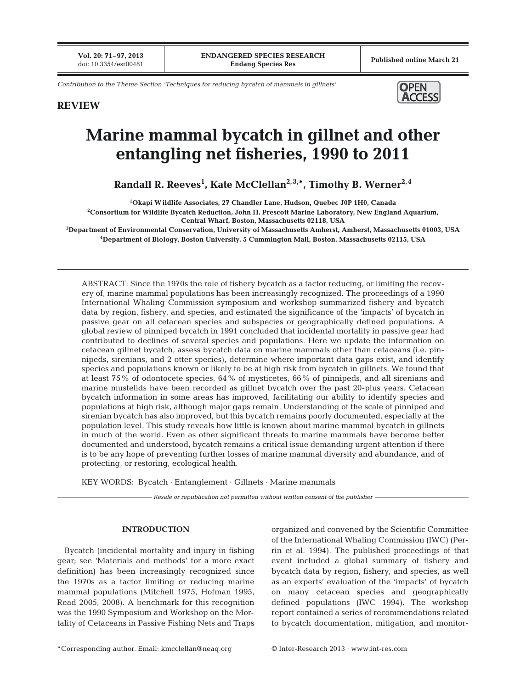**Vol. 20: 71–97, 2013**<br>doi: 10.3354/esr00481

*Contribution to the Theme Section 'Techniques for reducing bycatch of mammals in gillnets'*



# **REVIEW**

# **Marine mammal bycatch in gillnet and other entangling net fisheries, 1990 to 2011**

**Randall R. Reeves1 , Kate McClellan2,3,\*, Timothy B. Werner2,4**

**1 Okapi W ildlife Associates, 27 Chandler Lane, Hudson, Quebec J0P 1H0, Canada**

**2 Consortium for Wildlife Bycatch Reduction, John H. Prescott Marine Laboratory, New England Aquarium, Central Wharf, Boston, Massachusetts 02118, USA**

**3 Department of Environmental Conservation, University of Massachusetts Amherst, Amherst, Massachusetts 01003, USA 4 Department of Biology, Boston University, 5 Cummington Mall, Boston, Massachusetts 02115, USA**

ABSTRACT: Since the 1970s the role of fishery bycatch as a factor reducing, or limiting the recovery of, marine mammal populations has been increasingly recognized. The proceedings of a 1990 International Whaling Commission symposium and workshop summarized fishery and bycatch data by region, fishery, and species, and estimated the significance of the 'impacts' of bycatch in passive gear on all cetacean species and subspecies or geographically defined populations. A global review of pinniped bycatch in 1991 concluded that incidental mortality in passive gear had contributed to declines of several species and populations. Here we update the information on cetacean gillnet bycatch, assess bycatch data on marine mammals other than cetaceans (i.e. pinnipeds, sirenians, and 2 otter species), determine where important data gaps exist, and identify species and populations known or likely to be at high risk from bycatch in gillnets. We found that at least 75% of odontocete species, 64% of mysticetes, 66% of pinnipeds, and all sirenians and marine mustelids have been recorded as gillnet bycatch over the past 20-plus years. Cetacean bycatch information in some areas has improved, facilitating our ability to identify species and populations at high risk, although major gaps remain. Understanding of the scale of pinniped and sirenian bycatch has also improved, but this bycatch remains poorly documented, especially at the population level. This study reveals how little is known about marine mammal bycatch in gillnets in much of the world. Even as other significant threats to marine mammals have become better documented and understood, bycatch remains a critical issue demanding urgent attention if there is to be any hope of preventing further losses of marine mammal diversity and abundance, and of protecting, or restoring, ecological health.

KEY WORDS: Bycatch · Entanglement · Gillnets · Marine mammals

*Resale or republication not permitted without written consent of the publisher*

# **INTRODUCTION**

Bycatch (incidental mortality and injury in fishing gear; see 'Materials and methods' for a more exact definition) has been increasingly recognized since the 1970s as a factor limiting or reducing marine mammal populations (Mitchell 1975, Hofman 1995, Read 2005, 2008). A benchmark for this recognition was the 1990 Symposium and Workshop on the Mortality of Cetaceans in Passive Fishing Nets and Traps organized and convened by the Scientific Committee of the International Whaling Commission (IWC) (Perrin et al. 1994). The published proceedings of that event included a global summary of fishery and bycatch data by region, fishery, and species, as well as an experts' evaluation of the 'impacts' of bycatch on many cetacean species and geographically defined populations (IWC 1994). The workshop report contained a series of recommendations related to bycatch documentation, mitigation, and monitor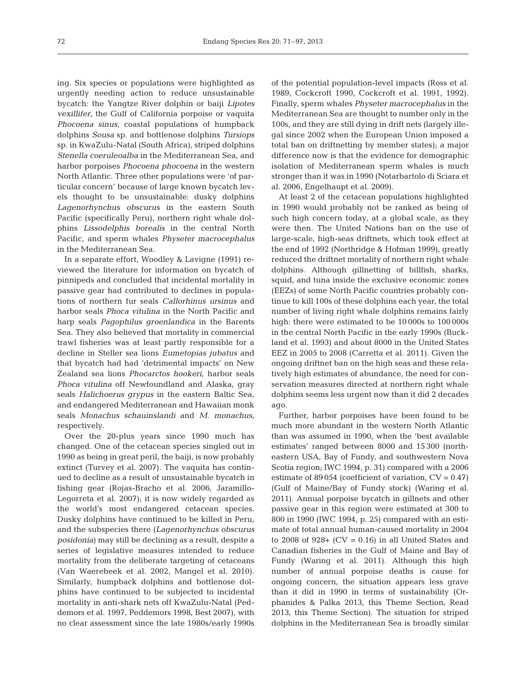ing. Six species or populations were highlighted as urgently needing action to reduce unsustainable bycatch: the Yangtze River dolphin or baiji *Lipotes vexillifer*, the Gulf of California porpoise or vaquita *Phocoena sinus*, coastal populations of humpback dolphins *Sousa* sp. and bottlenose dolphins *Tursiops* sp. in KwaZulu-Natal (South Africa), striped dolphins *Stenella coeruleoalba* in the Mediterranean Sea, and harbor porpoises *Phocoena phocoena* in the western North Atlantic. Three other populations were 'of particular concern' because of large known bycatch levels thought to be unsustainable: dusky dolphins *Lagenorhynchus obscurus* in the eastern South Pacific (specifically Peru), northern right whale dolphins *Lissodelphis borealis* in the central North Pacific, and sperm whales *Physeter macrocephalus* in the Mediterranean Sea.

In a separate effort, Woodley & Lavigne (1991) re viewed the literature for information on bycatch of pinnipeds and concluded that incidental mortality in passive gear had contributed to declines in populations of northern fur seals *Callorhinus ursinus* and harbor seals *Phoca vitulina* in the North Pacific and harp seals *Pagophilus groenlandica* in the Barents Sea. They also believed that mortality in commercial trawl fisheries was at least partly responsible for a decline in Steller sea lions *Eumetopias jubatus* and that bycatch had had 'detrimental impacts' on New Zealand sea lions *Phocarctos hookeri*, harbor seals *Phoca vitulina* off Newfoundland and Alaska, gray seals *Halichoerus grypus* in the eastern Baltic Sea, and endangered Mediterranean and Hawaiian monk seals *Monachus schauinslandi* and *M. monachus*, respectively.

Over the 20-plus years since 1990 much has changed. One of the cetacean species singled out in 1990 as being in great peril, the baiji, is now probably extinct (Turvey et al. 2007). The vaquita has continued to decline as a result of unsustainable bycatch in fishing gear (Rojas-Bracho et al. 2006, Jaramillo-Legorreta et al. 2007); it is now widely regarded as the world's most endangered cetacean species. Dusky dolphins have continued to be killed in Peru, and the subspecies there (*Lagenorhynchus obscurus posidonia*) may still be declining as a result, despite a series of legislative measures intended to reduce mortality from the deliberate targeting of cetaceans (Van Waerebeek et al. 2002, Mangel et al. 2010). Similarly, humpback dolphins and bottlenose dolphins have continued to be subjected to incidental mortality in anti-shark nets off KwaZulu-Natal (Peddemors et al. 1997, Peddemors 1998, Best 2007), with no clear assessment since the late 1980s/early 1990s

of the potential population-level impacts (Ross et al. 1989, Cockcroft 1990, Cockcroft et al. 1991, 1992). Finally, sperm whales *Physeter macrocephalus* in the Mediterranean Sea are thought to number only in the 100s, and they are still dying in drift nets (largely illegal since 2002 when the European Union imposed a total ban on driftnetting by member states); a major difference now is that the evidence for demographic isolation of Mediterranean sperm whales is much stronger than it was in 1990 (Notarbartolo di Sciara et al. 2006, Engelhaupt et al. 2009).

At least 2 of the cetacean populations highlighted in 1990 would probably not be ranked as being of such high concern today, at a global scale, as they were then. The United Nations ban on the use of large-scale, high-seas driftnets, which took effect at the end of 1992 (Northridge & Hofman 1999), greatly reduced the driftnet mortality of northern right whale dolphins. Although gillnetting of billfish, sharks, squid, and tuna inside the exclusive economic zones (EEZs) of some North Pacific countries probably continue to kill 100s of these dolphins each year, the total number of living right whale dolphins remains fairly high: there were estimated to be 10 000s to 100 000s in the central North Pacific in the early 1990s (Buckland et al. 1993) and about 8000 in the United States EEZ in 2005 to 2008 (Carretta et al. 2011). Given the ongoing driftnet ban on the high seas and these relatively high estimates of abundance, the need for conservation measures directed at northern right whale dolphins seems less urgent now than it did 2 decades ago.

Further, harbor porpoises have been found to be much more abundant in the western North Atlantic than was assumed in 1990, when the 'best available estimates' ranged between 8000 and 15 300 (northeastern USA, Bay of Fundy, and southwestern Nova Scotia region; IWC 1994, p. 31) compared with a 2006 estimate of 89 054 (coefficient of variation,  $CV = 0.47$ ) (Gulf of Maine/Bay of Fundy stock) (Waring et al. 2011). Annual porpoise bycatch in gillnets and other passive gear in this region were estimated at 300 to 800 in 1990 (IWC 1994, p. 25) compared with an estimate of total annual human-caused mortality in 2004 to 2008 of  $928+$  (CV = 0.16) in all United States and Canadian fisheries in the Gulf of Maine and Bay of Fundy (Waring et al. 2011). Although this high number of annual porpoise deaths is cause for ongoing concern, the situation appears less grave than it did in 1990 in terms of sustainability (Orphanides & Palka 2013, this Theme Section, Read 2013, this Theme Section). The situation for striped dolphins in the Mediterranean Sea is broadly similar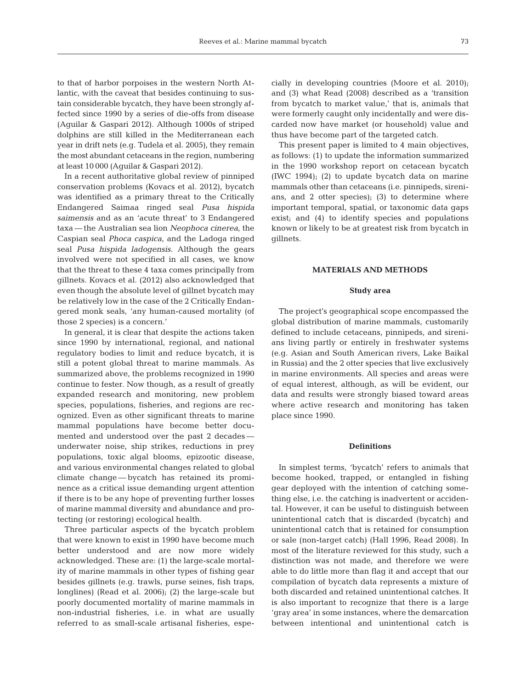to that of harbor porpoises in the western North Atlantic, with the caveat that besides continuing to sustain considerable bycatch, they have been strongly affected since 1990 by a series of die-offs from disease (Aguilar & Gaspari 2012). Although 1000s of striped dolphins are still killed in the Mediterranean each year in drift nets (e.g. Tudela et al. 2005), they remain the most abundant cetaceans in the region, numbering at least 10 000 (Aguilar & Gaspari 2012).

In a recent authoritative global review of pinniped conservation problems (Kovacs et al. 2012), bycatch was identified as a primary threat to the Critically Endangered Saimaa ringed seal *Pusa hispida saimensis* and as an 'acute threat' to 3 Endangered taxa — the Australian sea lion *Neophoca cinerea*, the Caspian seal *Phoca caspica*, and the Ladoga ringed seal *Pusa hispida ladogensis*. Although the gears involved were not specified in all cases, we know that the threat to these 4 taxa comes principally from gillnets. Kovacs et al. (2012) also acknowledged that even though the absolute level of gillnet bycatch may be relatively low in the case of the 2 Critically Endangered monk seals, 'any human-caused mortality (of those 2 species) is a concern.'

In general, it is clear that despite the actions taken since 1990 by international, regional, and national regulatory bodies to limit and reduce bycatch, it is still a potent global threat to marine mammals. As summarized above, the problems recognized in 1990 continue to fester. Now though, as a result of greatly expanded research and monitoring, new problem species, populations, fisheries, and regions are recognized. Even as other significant threats to marine mammal populations have become better documented and understood over the past 2 decades underwater noise, ship strikes, reductions in prey populations, toxic algal blooms, epizootic disease, and various environmental changes related to global climate change — bycatch has retained its prominence as a critical issue demanding urgent attention if there is to be any hope of preventing further losses of marine mammal diversity and abundance and protecting (or restoring) ecological health.

Three particular aspects of the bycatch problem that were known to exist in 1990 have become much better understood and are now more widely acknowledged. These are: (1) the large-scale mortality of marine mammals in other types of fishing gear besides gillnets (e.g. trawls, purse seines, fish traps, longlines) (Read et al. 2006); (2) the large-scale but poorly documented mortality of marine mammals in non-industrial fisheries, i.e. in what are usually referred to as small-scale artisanal fisheries, especially in developing countries (Moore et al. 2010); and (3) what Read (2008) described as a 'transition from bycatch to market value,' that is, animals that were formerly caught only incidentally and were discarded now have market (or household) value and thus have become part of the targeted catch.

This present paper is limited to 4 main objectives, as follows: (1) to update the information summarized in the 1990 workshop report on cetacean bycatch (IWC 1994); (2) to update bycatch data on marine mammals other than cetaceans (i.e. pinnipeds, sirenians, and 2 otter species); (3) to determine where important temporal, spatial, or taxonomic data gaps exist; and (4) to identify species and populations known or likely to be at greatest risk from bycatch in gillnets.

#### **MATERIALS AND METHODS**

#### **Study area**

The project's geographical scope encompassed the global distribution of marine mammals, customarily defined to include cetaceans, pinnipeds, and sirenians living partly or entirely in freshwater systems (e.g. Asian and South American rivers, Lake Baikal in Russia) and the 2 otter species that live exclusively in marine environments. All species and areas were of equal interest, although, as will be evident, our data and results were strongly biased toward areas where active research and monitoring has taken place since 1990.

# **Definitions**

In simplest terms, 'bycatch' refers to animals that become hooked, trapped, or entangled in fishing gear deployed with the intention of catching something else, i.e. the catching is inadvertent or accidental. However, it can be useful to distinguish between unintentional catch that is discarded (bycatch) and unintentional catch that is retained for consumption or sale (non-target catch) (Hall 1996, Read 2008). In most of the literature reviewed for this study, such a distinction was not made, and therefore we were able to do little more than flag it and accept that our compilation of bycatch data represents a mixture of both discarded and retained unintentional catches. It is also important to recognize that there is a large 'gray area' in some instances, where the demarcation between intentional and unintentional catch is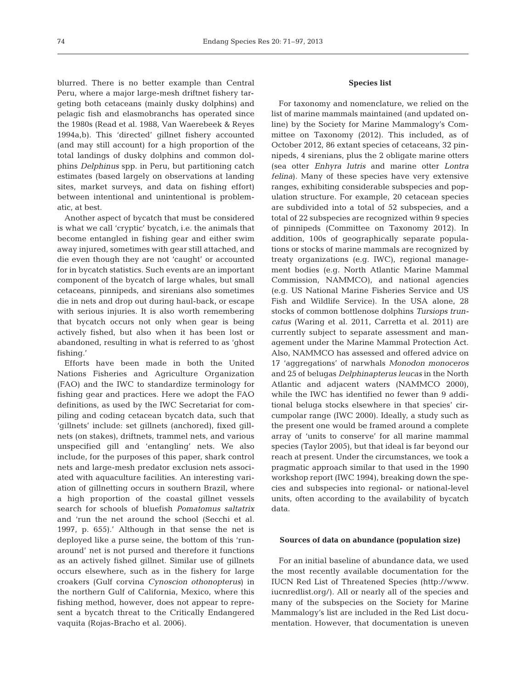blurred. There is no better example than Central Peru, where a major large-mesh driftnet fishery targeting both cetaceans (mainly dusky dolphins) and pelagic fish and elasmobranchs has operated since the 1980s (Read et al. 1988, Van Waerebeek & Reyes 1994a,b). This 'directed' gillnet fishery accounted (and may still account) for a high proportion of the total landings of dusky dolphins and common dolphins *Delphinus* spp. in Peru, but partitioning catch estimates (based largely on observations at landing sites, market surveys, and data on fishing effort) between intentional and unintentional is problematic, at best.

Another aspect of bycatch that must be considered is what we call 'cryptic' bycatch, i.e. the animals that become entangled in fishing gear and either swim away injured, sometimes with gear still attached, and die even though they are not 'caught' or accounted for in bycatch statistics. Such events are an important component of the bycatch of large whales, but small cetaceans, pinnipeds, and sirenians also sometimes die in nets and drop out during haul-back, or escape with serious injuries. It is also worth remembering that bycatch occurs not only when gear is being actively fished, but also when it has been lost or abandoned, resulting in what is referred to as 'ghost fishing.'

Efforts have been made in both the United Nations Fisheries and Agriculture Organization (FAO) and the IWC to standardize terminology for fishing gear and practices. Here we adopt the FAO definitions, as used by the IWC Secretariat for compiling and coding cetacean bycatch data, such that 'gillnets' include: set gillnets (anchored), fixed gillnets (on stakes), driftnets, trammel nets, and various unspecified gill and 'entangling' nets. We also include, for the purposes of this paper, shark control nets and large-mesh predator exclusion nets associated with aquaculture facilities. An interesting variation of gillnetting occurs in southern Brazil, where a high proportion of the coastal gillnet vessels search for schools of bluefish *Pomatomus saltatrix* and 'run the net around the school (Secchi et al. 1997, p. 655).' Although in that sense the net is deployed like a purse seine, the bottom of this 'runaround' net is not pursed and therefore it functions as an actively fished gillnet. Similar use of gillnets occurs elsewhere, such as in the fishery for large croakers (Gulf corvina *Cynoscion othonopterus*) in the northern Gulf of California, Mexico, where this fishing method, however, does not appear to represent a bycatch threat to the Critically Endangered vaquita (Rojas-Bracho et al. 2006).

# **Species list**

For taxonomy and nomenclature, we relied on the list of marine mammals maintained (and updated online) by the Society for Marine Mammalogy's Committee on Taxonomy (2012). This included, as of October 2012, 86 extant species of cetaceans, 32 pinnipeds, 4 sirenians, plus the 2 obligate marine otters (sea otter *Enhyra lutris* and marine otter *Lontra felina*). Many of these species have very extensive ranges, exhibiting considerable subspecies and population structure. For example, 20 cetacean species are subdivided into a total of 52 subspecies, and a total of 22 subspecies are recognized within 9 species of pinnipeds (Committee on Taxonomy 2012). In addition, 100s of geographically separate populations or stocks of marine mammals are recognized by treaty organizations (e.g. IWC), regional management bodies (e.g. North Atlantic Marine Mammal Commission, NAMMCO), and national agencies (e.g. US National Marine Fisheries Service and US Fish and Wildlife Service). In the USA alone, 28 stocks of common bottlenose dolphins *Tursiops truncatus* (Waring et al. 2011, Carretta et al. 2011) are currently subject to separate assessment and management under the Marine Mammal Protection Act. Also, NAMMCO has assessed and offered advice on 17 'aggregations' of narwhals *Monodon monoceros* and 25 of belugas *Delphinapterus leucas* in the North Atlantic and adjacent waters (NAMMCO 2000), while the IWC has identified no fewer than 9 additional beluga stocks elsewhere in that species' circumpolar range (IWC 2000). Ideally, a study such as the present one would be framed around a complete array of 'units to conserve' for all marine mammal species (Taylor 2005), but that ideal is far beyond our reach at present. Under the circumstances, we took a pragmatic approach similar to that used in the 1990 workshop report (IWC 1994), breaking down the species and subspecies into regional- or national-level units, often according to the availability of bycatch data.

## **Sources of data on abundance (population size)**

For an initial baseline of abundance data, we used the most recently available documentation for the IUCN Red List of Threatened Species (http:// www. iucnredlist.org/). All or nearly all of the species and many of the subspecies on the Society for Marine Mammalogy's list are included in the Red List documentation. However, that documentation is uneven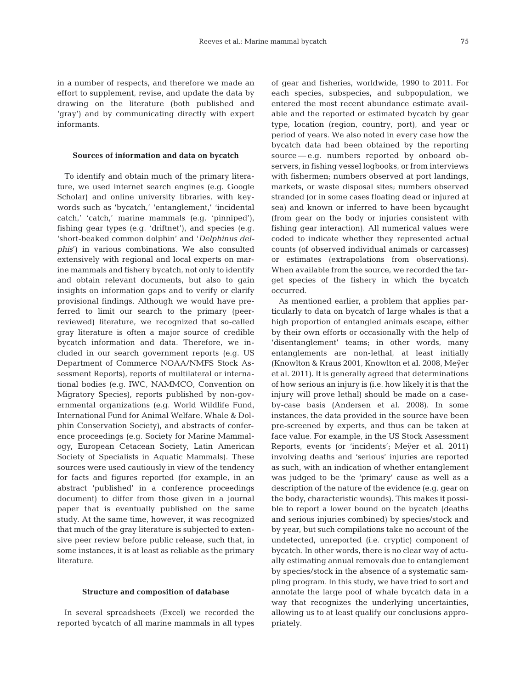in a number of respects, and therefore we made an effort to supplement, revise, and update the data by drawing on the literature (both published and 'gray') and by communicating directly with expert informants.

#### **Sources of information and data on bycatch**

To identify and obtain much of the primary literature, we used internet search engines (e.g. Google Scholar) and online university libraries, with keywords such as 'bycatch,' 'entanglement,' 'incidental catch,' 'catch,' marine mammals (e.g. 'pinniped'), fishing gear types (e.g. 'driftnet'), and species (e.g. 'short-beaked common dolphin' and '*Delphinus delphis*') in various combinations. We also consulted extensively with regional and local experts on marine mammals and fishery bycatch, not only to identify and obtain relevant documents, but also to gain insights on information gaps and to verify or clarify provisional findings. Although we would have preferred to limit our search to the primary (peerreviewed) literature, we recognized that so-called gray literature is often a major source of credible bycatch information and data. Therefore, we included in our search government reports (e.g. US Department of Commerce NOAA/NMFS Stock As sessment Reports), reports of multilateral or international bodies (e.g. IWC, NAMMCO, Convention on Migratory Species), reports published by non-governmental organizations (e.g. World Wildlife Fund, International Fund for Animal Welfare, Whale & Dolphin Conservation Society), and abstracts of conference proceedings (e.g. Society for Marine Mammalogy, European Cetacean Society, Latin American Society of Specialists in Aquatic Mammals). These sources were used cautiously in view of the tendency for facts and figures reported (for example, in an abstract 'published' in a conference proceedings document) to differ from those given in a journal paper that is eventually published on the same study. At the same time, however, it was recognized that much of the gray literature is subjected to extensive peer review before public release, such that, in some instances, it is at least as reliable as the primary literature.

#### **Structure and composition of database**

In several spreadsheets (Excel) we recorded the reported bycatch of all marine mammals in all types of gear and fisheries, worldwide, 1990 to 2011. For each species, subspecies, and subpopulation, we entered the most recent abundance estimate available and the reported or estimated bycatch by gear type, location (region, country, port), and year or period of years. We also noted in every case how the bycatch data had been obtained by the reporting source — e.g. numbers reported by onboard observers, in fishing vessel logbooks, or from interviews with fishermen; numbers observed at port landings, markets, or waste disposal sites; numbers observed stranded (or in some cases floating dead or injured at sea) and known or inferred to have been bycaught (from gear on the body or injuries consistent with fishing gear interaction). All numerical values were coded to indicate whether they represented actual counts (of observed individual animals or carcasses) or estimates (extrapolations from observations). When available from the source, we recorded the target species of the fishery in which the bycatch occurred.

As mentioned earlier, a problem that applies particularly to data on bycatch of large whales is that a high proportion of entangled animals escape, either by their own efforts or occasionally with the help of 'disentanglement' teams; in other words, many entanglements are non-lethal, at least initially (Knowlton & Kraus 2001, Knowlton et al. 2008, Meÿer et al. 2011). It is generally agreed that determinations of how serious an injury is (i.e. how likely it is that the injury will prove lethal) should be made on a caseby-case basis (Andersen et al. 2008). In some instances, the data provided in the source have been pre-screened by experts, and thus can be taken at face value. For example, in the US Stock Assessment Reports, events (or 'incidents'; Meÿer et al. 2011) involving deaths and 'serious' injuries are reported as such, with an indication of whether entanglement was judged to be the 'primary' cause as well as a description of the nature of the evidence (e.g. gear on the body, characteristic wounds). This makes it possible to report a lower bound on the bycatch (deaths and serious injuries combined) by species/stock and by year, but such compilations take no account of the undetected, unreported (i.e. cryptic) component of bycatch. In other words, there is no clear way of actually estimating annual removals due to entanglement by species/stock in the absence of a systematic sampling program. In this study, we have tried to sort and annotate the large pool of whale bycatch data in a way that recognizes the underlying uncertainties, allowing us to at least qualify our conclusions appropriately.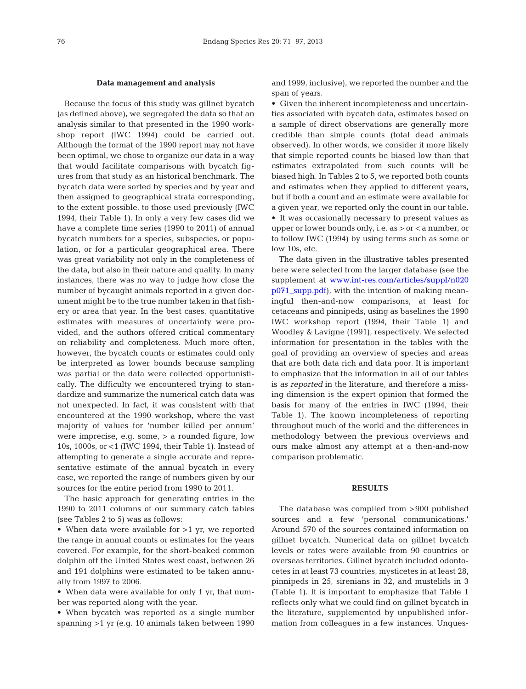## **Data management and analysis**

Because the focus of this study was gillnet bycatch (as defined above), we segregated the data so that an analysis similar to that presented in the 1990 workshop report (IWC 1994) could be carried out. Although the format of the 1990 report may not have been optimal, we chose to organize our data in a way that would facilitate comparisons with bycatch figures from that study as an historical benchmark. The bycatch data were sorted by species and by year and then assigned to geographical strata corresponding, to the extent possible, to those used previously (IWC 1994, their Table 1). In only a very few cases did we have a complete time series (1990 to 2011) of annual bycatch numbers for a species, subspecies, or population, or for a particular geographical area. There was great variability not only in the completeness of the data, but also in their nature and quality. In many instances, there was no way to judge how close the number of bycaught animals reported in a given document might be to the true number taken in that fishery or area that year. In the best cases, quantitative estimates with measures of uncertainty were provided, and the authors offered critical commentary on reliability and completeness. Much more often, however, the bycatch counts or estimates could only be interpreted as lower bounds because sampling was partial or the data were collected opportunistically. The difficulty we encountered trying to standardize and summarize the numerical catch data was not unexpected. In fact, it was consistent with that encountered at the 1990 workshop, where the vast majority of values for 'number killed per annum' were imprecise, e.g. some, > a rounded figure, low 10s, 1000s, or <1 (IWC 1994, their Table 1). Instead of attempting to generate a single accurate and representative estimate of the annual bycatch in every case, we reported the range of numbers given by our sources for the entire period from 1990 to 2011.

The basic approach for generating entries in the 1990 to 2011 columns of our summary catch tables (see Tables 2 to 5) was as follows:

• When data were available for >1 yr, we reported the range in annual counts or estimates for the years covered. For example, for the short-beaked common dolphin off the United States west coast, between 26 and 191 dolphins were estimated to be taken annually from 1997 to 2006.

• When data were available for only 1 yr, that number was reported along with the year.

• When bycatch was reported as a single number spanning >1 yr (e.g. 10 animals taken between 1990

and 1999, inclusive), we reported the number and the span of years.

• Given the inherent incompleteness and uncertainties associated with bycatch data, estimates based on a sample of direct observations are generally more credible than simple counts (total dead animals observed). In other words, we consider it more likely that simple reported counts be biased low than that estimates extrapolated from such counts will be biased high. In Tables 2 to 5, we reported both counts and estimates when they applied to different years, but if both a count and an estimate were available for a given year, we reported only the count in our table. • It was occasionally necessary to present values as upper or lower bounds only, i.e. as > or < a number, or to follow IWC (1994) by using terms such as some or low 10s, etc.

The data given in the illustrative tables presented here were selected from the larger database (see the supplement at www.int-res.com/articles/suppl/n020 [p071\\_supp.pdf\)](http://www.int-res.com/articles/suppl/n020p071_supp.pdf), with the intention of making meaningful then-and-now comparisons, at least for cetaceans and pinnipeds, using as baselines the 1990 IWC workshop report (1994, their Table 1) and Woodley & Lavigne (1991), respectively. We selected information for presentation in the tables with the goal of providing an overview of species and areas that are both data rich and data poor. It is important to emphasize that the information in all of our tables is *as reported* in the literature, and therefore a missing dimension is the expert opinion that formed the basis for many of the entries in IWC (1994, their Table 1). The known incompleteness of reporting throughout much of the world and the differences in methodology between the previous overviews and ours make almost any attempt at a then-and-now comparison problematic.

# **RESULTS**

The database was compiled from >900 published sources and a few 'personal communications.' Around 570 of the sources contained information on gillnet bycatch. Numerical data on gillnet bycatch levels or rates were available from 90 countries or overseas territories. Gillnet bycatch included odontocetes in at least 73 countries, mysticetes in at least 28, pinnipeds in 25, sirenians in 32, and mustelids in 3 (Table 1). It is important to emphasize that Table 1 reflects only what we could find on gillnet bycatch in the literature, supplemented by unpublished information from colleagues in a few instances. Unques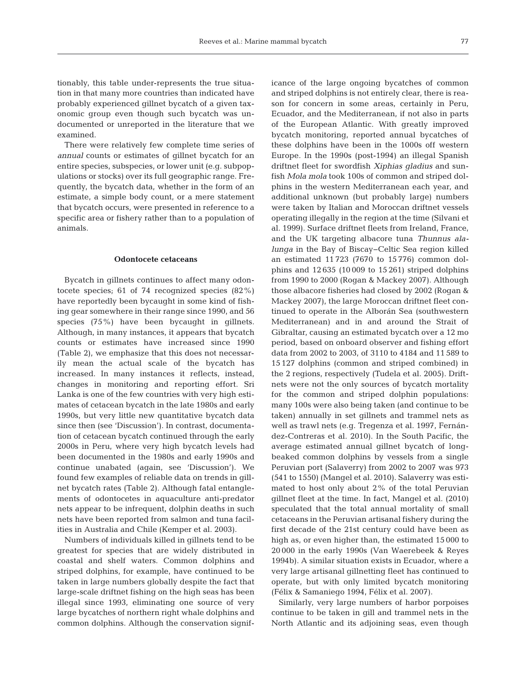tionably, this table under-represents the true situation in that many more countries than indicated have probably experienced gillnet bycatch of a given taxonomic group even though such bycatch was undocumented or unreported in the literature that we examined.

There were relatively few complete time series of *annual* counts or estimates of gillnet bycatch for an entire species, subspecies, or lower unit (e.g. subpopulations or stocks) over its full geographic range. Frequently, the bycatch data, whether in the form of an estimate, a simple body count, or a mere statement that bycatch occurs, were presented in reference to a specific area or fishery rather than to a population of animals.

# **Odontocete cetaceans**

Bycatch in gillnets continues to affect many odontocete species; 61 of 74 recognized species (82%) have reportedly been bycaught in some kind of fishing gear somewhere in their range since 1990, and 56 species (75%) have been bycaught in gillnets. Although, in many instances, it appears that bycatch counts or estimates have increased since 1990 (Table 2), we emphasize that this does not necessarily mean the actual scale of the bycatch has increased. In many instances it reflects, instead, changes in monitoring and reporting effort. Sri Lanka is one of the few countries with very high estimates of cetacean bycatch in the late 1980s and early 1990s, but very little new quantitative bycatch data since then (see 'Discussion'). In contrast, documentation of cetacean bycatch continued through the early 2000s in Peru, where very high bycatch levels had been documented in the 1980s and early 1990s and continue unabated (again, see 'Discussion'). We found few examples of reliable data on trends in gillnet bycatch rates (Table 2). Although fatal entanglements of odontocetes in aquaculture anti-predator nets appear to be infrequent, dolphin deaths in such nets have been reported from salmon and tuna facilities in Australia and Chile (Kemper et al. 2003).

Numbers of individuals killed in gillnets tend to be greatest for species that are widely distributed in coastal and shelf waters. Common dolphins and striped dolphins, for example, have continued to be taken in large numbers globally despite the fact that large-scale driftnet fishing on the high seas has been illegal since 1993, eliminating one source of very large bycatches of northern right whale dolphins and common dolphins. Although the conservation significance of the large ongoing bycatches of common and striped dolphins is not entirely clear, there is reason for concern in some areas, certainly in Peru, Ecuador, and the Mediterranean, if not also in parts of the European Atlantic. With greatly improved bycatch monitoring, reported annual bycatches of these dolphins have been in the 1000s off western Europe. In the 1990s (post-1994) an illegal Spanish driftnet fleet for swordfish *Xiphias gladius* and sunfish *Mola mola* took 100s of common and striped dolphins in the western Mediterranean each year, and additional unknown (but probably large) numbers were taken by Italian and Moroccan driftnet vessels operating illegally in the region at the time (Silvani et al. 1999). Surface driftnet fleets from Ireland, France, and the UK targeting albacore tuna *Thunnus ala lunga* in the Bay of Biscay−Celtic Sea region killed an estimated 11 723 (7670 to 15 776) common dolphins and 12 635 (10 009 to 15 261) striped dolphins from 1990 to 2000 (Rogan & Mackey 2007). Although those albacore fisheries had closed by 2002 (Rogan & Mackey 2007), the large Moroccan driftnet fleet continued to operate in the Alborán Sea (southwestern Mediterranean) and in and around the Strait of Gibraltar, causing an estimated bycatch over a 12 mo period, based on onboard observer and fishing effort data from 2002 to 2003, of 3110 to 4184 and 11 589 to 15 127 dolphins (common and striped combined) in the 2 regions, respectively (Tudela et al. 2005). Driftnets were not the only sources of bycatch mortality for the common and striped dolphin populations: many 100s were also being taken (and continue to be taken) annually in set gillnets and trammel nets as well as trawl nets (e.g. Tregenza et al. 1997, Fernández-Contreras et al. 2010). In the South Pacific, the average estimated annual gillnet bycatch of longbeaked common dolphins by vessels from a single Peruvian port (Salaverry) from 2002 to 2007 was 973 (541 to 1550) (Mangel et al. 2010). Salaverry was estimated to host only about 2% of the total Peruvian gillnet fleet at the time. In fact, Mangel et al. (2010) speculated that the total annual mortality of small cetaceans in the Peruvian artisanal fishery during the first decade of the 21st century could have been as high as, or even higher than, the estimated 15 000 to 20 000 in the early 1990s (Van Waerebeek & Reyes 1994b). A similar situation exists in Ecuador, where a very large artisanal gillnetting fleet has continued to operate, but with only limited bycatch monitoring (Félix & Samaniego 1994, Félix et al. 2007).

Similarly, very large numbers of harbor porpoises continue to be taken in gill and trammel nets in the North Atlantic and its adjoining seas, even though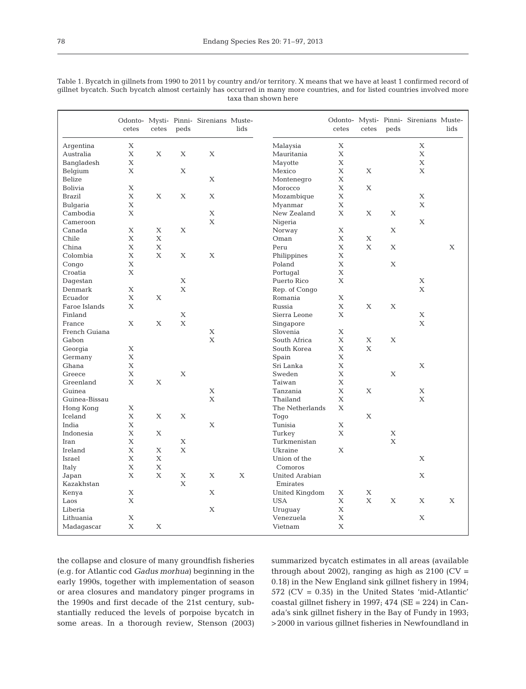|               | cetes | cetes | peds        | Odonto- Mysti- Pinni- Sirenians Muste- | lids |                 | cetes       | cetes       | peds | Odonto- Mysti- Pinni- Sirenians Muste- | lids |
|---------------|-------|-------|-------------|----------------------------------------|------|-----------------|-------------|-------------|------|----------------------------------------|------|
| Argentina     | X     |       |             |                                        |      | Malaysia        | $\mathbf X$ |             |      | X                                      |      |
| Australia     | X     | X     | X           | X                                      |      | Mauritania      | X           |             |      | X                                      |      |
| Bangladesh    | X     |       |             |                                        |      | Mayotte         | $\mathbf X$ |             |      | X                                      |      |
| Belgium       | X     |       | X           |                                        |      | Mexico          | $\mathbf X$ | X           |      | X                                      |      |
| Belize        |       |       |             | X                                      |      | Montenegro      | X           |             |      |                                        |      |
| Bolivia       | X     |       |             |                                        |      | Morocco         | X           | X           |      |                                        |      |
| <b>Brazil</b> | X     | X     | X           | X                                      |      | Mozambique      | $\mathbf X$ |             |      | X                                      |      |
| Bulgaria      | X     |       |             |                                        |      | Myanmar         | X           |             |      | X                                      |      |
| Cambodia      | X     |       |             | X                                      |      | New Zealand     | X           | X           | Х    |                                        |      |
| Cameroon      |       |       |             | $\mathbf{X}$                           |      | Nigeria         |             |             |      | X                                      |      |
| Canada        | X     | X     | $\mathbf X$ |                                        |      | Norway          | $\mathbf X$ |             | X    |                                        |      |
| Chile         | X     | X     |             |                                        |      | Oman            | $\mathbf X$ | X           |      |                                        |      |
| China         | X     | X     |             |                                        |      | Peru            | X           | X           | X    |                                        | X    |
| Colombia      | X     | X     | X           | X                                      |      | Philippines     | $\mathbf X$ |             |      |                                        |      |
| Congo         | X     |       |             |                                        |      | Poland          | $\mathbf X$ |             | X    |                                        |      |
| Croatia       | X     |       |             |                                        |      | Portugal        | $\mathbf X$ |             |      |                                        |      |
| Dagestan      |       |       | X           |                                        |      | Puerto Rico     | X           |             |      | Χ                                      |      |
| Denmark       | X     |       | X           |                                        |      | Rep. of Congo   |             |             |      | X                                      |      |
| Ecuador       | X     | X     |             |                                        |      | Romania         | X           |             |      |                                        |      |
| Faroe Islands | X     |       |             |                                        |      | Russia          | X           | X           | X    |                                        |      |
| Finland       |       |       | X           |                                        |      | Sierra Leone    | X           |             |      | X                                      |      |
| France        | X     | X     | X           |                                        |      | Singapore       |             |             |      | X                                      |      |
| French Guiana |       |       |             | X                                      |      | Slovenia        | X           |             |      |                                        |      |
| Gabon         |       |       |             | $\mathbf{X}$                           |      | South Africa    | X           | X           | X    |                                        |      |
| Georgia       | X     |       |             |                                        |      | South Korea     | $\mathbf X$ | $\mathbf X$ |      |                                        |      |
| Germany       | X     |       |             |                                        |      | Spain           | $\mathbf X$ |             |      |                                        |      |
| Ghana         | X     |       |             |                                        |      | Sri Lanka       | $\mathbf X$ |             |      | X                                      |      |
| Greece        | X     |       | X           |                                        |      | Sweden          | $\mathbf X$ |             | X    |                                        |      |
| Greenland     | X     | X     |             |                                        |      | Taiwan          | $\mathbf X$ |             |      |                                        |      |
| Guinea        |       |       |             | X                                      |      | Tanzania        | $\mathbf X$ | X           |      | Χ                                      |      |
| Guinea-Bissau |       |       |             | X                                      |      | Thailand        | X           |             |      | X                                      |      |
| Hong Kong     | X     |       |             |                                        |      | The Netherlands | X           |             |      |                                        |      |
| Iceland       | X     | X     | X           |                                        |      | Togo            |             | X           |      |                                        |      |
| India         | X     |       |             | X                                      |      | Tunisia         | $\mathbf X$ |             |      |                                        |      |
| Indonesia     | X     | X     |             |                                        |      | Turkey          | X           |             | X    |                                        |      |
| Iran          | X     |       | $\mathbf X$ |                                        |      | Turkmenistan    |             |             | X    |                                        |      |
| Ireland       | X     | Х     | X           |                                        |      | Ukraine         | X           |             |      |                                        |      |
| Israel        | X     | X     |             |                                        |      | Union of the    |             |             |      | X                                      |      |
| Italy         | X     | X     |             |                                        |      | Comoros         |             |             |      |                                        |      |
| Japan         | X     | X     | $\mathbf X$ | X                                      | X    | United Arabian  |             |             |      | X                                      |      |
| Kazakhstan    |       |       | X           |                                        |      | Emirates        |             |             |      |                                        |      |
| Kenya         | X     |       |             | X                                      |      | United Kingdom  | X           | X           |      |                                        |      |
| Laos          | X     |       |             |                                        |      | <b>USA</b>      | X           | $\mathbf X$ | X    | X                                      | X    |
| Liberia       |       |       |             | X                                      |      | Uruquay         | $\mathbf X$ |             |      |                                        |      |
| Lithuania     | X     |       |             |                                        |      | Venezuela       | $\mathbf X$ |             |      | X                                      |      |
| Madagascar    | X     | X     |             |                                        |      | Vietnam         | $\mathbf X$ |             |      |                                        |      |

Table 1. Bycatch in gillnets from 1990 to 2011 by country and/or territory. X means that we have at least 1 confirmed record of gillnet bycatch. Such bycatch almost certainly has occurred in many more countries, and for listed countries involved more taxa than shown here

the collapse and closure of many groundfish fisheries (e.g. for Atlantic cod *Gadus morhua*) beginning in the early 1990s, together with implementation of season or area closures and mandatory pinger programs in the 1990s and first decade of the 21st century, substantially reduced the levels of porpoise bycatch in some areas. In a thorough review, Stenson (2003) summarized bycatch estimates in all areas (available through about 2002), ranging as high as  $2100$  (CV = 0.18) in the New England sink gillnet fishery in 1994; 572 (CV = 0.35) in the United States 'mid-Atlantic' coastal gillnet fishery in 1997; 474 (SE = 224) in Canada's sink gillnet fishery in the Bay of Fundy in 1993; >2000 in various gillnet fisheries in Newfoundland in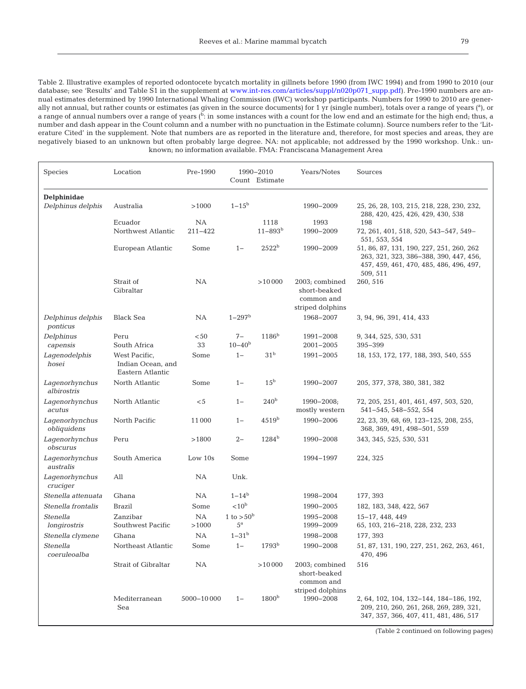Table 2. Illustrative examples of reported odontocete bycatch mortality in gillnets before 1990 (from IWC 1994) and from 1990 to 2010 (our database; see 'Results' and Table S1 in the supplement at [www.int-res.com/articles/suppl/n020p071\\_supp.pdf\)](http://www.int-res.com/articles/suppl/n020p071_supp.pdf). Pre-1990 numbers are annual estimates determined by 1990 International Whaling Commission (IWC) workshop participants. Numbers for 1990 to 2010 are generally not annual, but rather counts or estimates (as given in the source documents) for 1 yr (single number), totals over a range of years (ª), or a range of annual numbers over a range of years (b: in some instances with a count for the low end and an estimate for the high end; thus, a number and dash appear in the Count column and a number with no punctuation in the Estimate column). Source numbers refer to the 'Literature Cited' in the supplement. Note that numbers are as reported in the literature and, therefore, for most species and areas, they are negatively biased to an unknown but often probably large degree. NA: not applicable; not addressed by the 1990 workshop. Unk.: unknown; no information available. FMA: Franciscana Management Area

| Species                       | Location                                               | Pre-1990             |                                    | 1990-2010<br>Count Estimate     | Years/Notes                                                      | Sources                                                                                                                                                    |
|-------------------------------|--------------------------------------------------------|----------------------|------------------------------------|---------------------------------|------------------------------------------------------------------|------------------------------------------------------------------------------------------------------------------------------------------------------------|
| Delphinidae                   |                                                        |                      |                                    |                                 |                                                                  |                                                                                                                                                            |
| Delphinus delphis             | Australia                                              | >1000                | $1 - 15^{\rm b}$                   |                                 | 1990-2009                                                        | 25, 26, 28, 103, 215, 218, 228, 230, 232,<br>288, 420, 425, 426, 429, 430, 538                                                                             |
|                               | Ecuador<br>Northwest Atlantic                          | <b>NA</b><br>211-422 |                                    | 1118<br>$11 - 893$ <sup>b</sup> | 1993<br>1990-2009                                                | 198<br>72, 261, 401, 518, 520, 543-547, 549-                                                                                                               |
|                               | European Atlantic                                      | Some                 | $1 -$                              | 2522 <sup>b</sup>               | 1990-2009                                                        | 551, 553, 554<br>51, 86, 87, 131, 190, 227, 251, 260, 262<br>263, 321, 323, 386-388, 390, 447, 456,<br>457, 459, 461, 470, 485, 486, 496, 497,<br>509, 511 |
|                               | Strait of<br>Gibraltar                                 | NA                   |                                    | >10000                          | 2003; combined<br>short-beaked<br>common and<br>striped dolphins | 260, 516                                                                                                                                                   |
| Delphinus delphis<br>ponticus | <b>Black Sea</b>                                       | NA                   | $1 - 297$ <sup>b</sup>             |                                 | 1968-2007                                                        | 3, 94, 96, 391, 414, 433                                                                                                                                   |
| Delphinus<br>capensis         | Peru<br>South Africa                                   | $50$<br>33           | $7-$<br>$10 - 40^{b}$              | 1186 <sup>b</sup>               | 1991-2008<br>2001-2005                                           | 9, 344, 525, 530, 531<br>395-399                                                                                                                           |
| Lagenodelphis<br>hosei        | West Pacific,<br>Indian Ocean, and<br>Eastern Atlantic | Some                 | $1 -$                              | 31 <sup>b</sup>                 | 1991-2005                                                        | 18, 153, 172, 177, 188, 393, 540, 555                                                                                                                      |
| Lagenorhynchus<br>albirostris | North Atlantic                                         | Some                 | $1 -$                              | 15 <sup>b</sup>                 | 1990-2007                                                        | 205, 377, 378, 380, 381, 382                                                                                                                               |
| Lagenorhynchus<br>acutus      | North Atlantic                                         | $<$ 5                | $1 -$                              | 240 <sup>b</sup>                | $1990 - 2008$<br>mostly western                                  | 72, 205, 251, 401, 461, 497, 503, 520,<br>541-545, 548-552, 554                                                                                            |
| Lagenorhynchus<br>obliquidens | North Pacific                                          | 11 000               | $1 -$                              | 4519 <sup>b</sup>               | 1990-2006                                                        | 22, 23, 39, 68, 69, 123-125, 208, 255,<br>368, 369, 491, 498-501, 559                                                                                      |
| Lagenorhynchus<br>obscurus    | Peru                                                   | >1800                | $2 -$                              | $1284^{\rm b}$                  | 1990-2008                                                        | 343, 345, 525, 530, 531                                                                                                                                    |
| Lagenorhynchus<br>australis   | South America                                          | Low $10s$            | Some                               |                                 | 1994-1997                                                        | 224, 325                                                                                                                                                   |
| Lagenorhynchus<br>cruciger    | All                                                    | NA                   | Unk.                               |                                 |                                                                  |                                                                                                                                                            |
| Stenella attenuata            | Ghana                                                  | NA                   | $1 - 14^b$                         |                                 | 1998-2004                                                        | 177, 393                                                                                                                                                   |
| Stenella frontalis            | <b>Brazil</b>                                          | Some                 | $< 10^{\rm b}$                     |                                 | 1990-2005                                                        | 182, 183, 348, 422, 567                                                                                                                                    |
| Stenella<br>longirostris      | Zanzibar<br>Southwest Pacific                          | NA<br>>1000          | 1 to $> 50^{\rm b}$<br>$5^{\rm a}$ |                                 | 1995-2008<br>1999-2009                                           | 15-17, 448, 449<br>65, 103, 216-218, 228, 232, 233                                                                                                         |
| Stenella clymene              | Ghana                                                  | NA                   | $1 - 31^{b}$                       |                                 | 1998-2008                                                        | 177, 393                                                                                                                                                   |
| Stenella<br>coeruleoalba      | Northeast Atlantic                                     | Some                 | $1 -$                              | $1793^{\rm b}$                  | 1990-2008                                                        | 51, 87, 131, 190, 227, 251, 262, 263, 461,<br>470, 496                                                                                                     |
|                               | Strait of Gibraltar                                    | NA                   |                                    | >10000                          | 2003; combined<br>short-beaked<br>common and<br>striped dolphins | 516                                                                                                                                                        |
|                               | Mediterranean<br>Sea                                   | 5000-10000           | $1 -$                              | 1800 <sup>b</sup>               | 1990-2008                                                        | 2, 64, 102, 104, 132-144, 184-186, 192,<br>209, 210, 260, 261, 268, 269, 289, 321,<br>347, 357, 366, 407, 411, 481, 486, 517                               |

(Table 2 continued on following pages)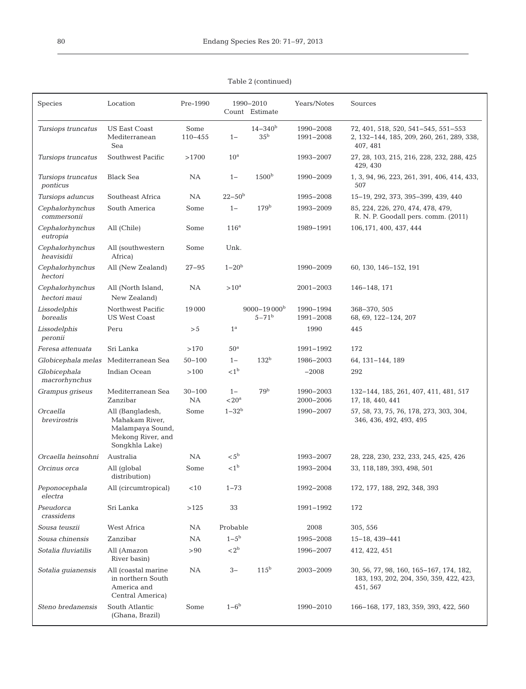| <b>Species</b>                 | Location                                                                                      | Pre-1990            |                     | 1990-2010<br>Count Estimate               | Years/Notes            | Sources                                                                                        |
|--------------------------------|-----------------------------------------------------------------------------------------------|---------------------|---------------------|-------------------------------------------|------------------------|------------------------------------------------------------------------------------------------|
| Tursiops truncatus             | <b>US East Coast</b><br>Mediterranean<br>Sea                                                  | Some<br>$110 - 455$ | $1 -$               | $14 - 340^{\rm b}$<br>35 <sup>b</sup>     | 1990-2008<br>1991-2008 | 72, 401, 518, 520, 541-545, 551-553<br>2, 132-144, 185, 209, 260, 261, 289, 338,<br>407, 481   |
| Tursiops truncatus             | Southwest Pacific                                                                             | >1700               | 10 <sup>a</sup>     |                                           | 1993-2007              | 27, 28, 103, 215, 216, 228, 232, 288, 425<br>429, 430                                          |
| Tursiops truncatus<br>ponticus | <b>Black Sea</b>                                                                              | <b>NA</b>           | $1 -$               | 1500 <sup>b</sup>                         | 1990-2009              | 1, 3, 94, 96, 223, 261, 391, 406, 414, 433,<br>507                                             |
| Tursiops aduncus               | Southeast Africa                                                                              | <b>NA</b>           | $22 - 50b$          |                                           | 1995-2008              | 15-19, 292, 373, 395-399, 439, 440                                                             |
| Cephalorhynchus<br>commersonii | South America                                                                                 | Some                | $1 -$               | 179 <sup>b</sup>                          | 1993-2009              | 85, 224, 226, 270, 474, 478, 479,<br>R. N. P. Goodall pers. comm. (2011)                       |
| Cephalorhynchus<br>eutropia    | All (Chile)                                                                                   | Some                | 116 <sup>a</sup>    |                                           | 1989-1991              | 106, 171, 400, 437, 444                                                                        |
| Cephalorhynchus<br>heavisidii  | All (southwestern<br>Africa)                                                                  | Some                | Unk.                |                                           |                        |                                                                                                |
| Cephalorhynchus<br>hectori     | All (New Zealand)                                                                             | $27 - 95$           | $1 - 20^{b}$        |                                           | 1990-2009              | 60, 130, 146-152, 191                                                                          |
| Cephalorhynchus                | All (North Island,                                                                            | NA                  | $>10^a$             |                                           | 2001-2003              | 146-148, 171                                                                                   |
| hectori maui                   | New Zealand)                                                                                  |                     |                     |                                           |                        |                                                                                                |
| Lissodelphis<br>borealis       | Northwest Pacific<br><b>US West Coast</b>                                                     | 19000               |                     | $9000 - 19000$ <sup>b</sup><br>$5 - 71^b$ | 1990-1994<br>1991-2008 | 368-370, 505<br>68, 69, 122-124, 207                                                           |
| Lissodelphis<br>peronii        | Peru                                                                                          | > 5                 | $1^{\rm a}$         |                                           | 1990                   | 445                                                                                            |
| Feresa attenuata               | Sri Lanka                                                                                     | >170                | 50 <sup>a</sup>     |                                           | 1991-1992              | 172                                                                                            |
|                                | Globicephala melas Mediterranean Sea                                                          | $50 - 100$          | $1 -$               | 132 <sup>b</sup>                          | 1986-2003              | 64, 131-144, 189                                                                               |
| Globicephala<br>macrorhynchus  | Indian Ocean                                                                                  | >100                | < 1 <sup>b</sup>    |                                           | $-2008$                | 292                                                                                            |
| Grampus griseus                | Mediterranean Sea<br>Zanzibar                                                                 | $30 - 100$<br>NA    | $1 -$<br>$<$ 20 $a$ | 79 <sup>b</sup>                           | 1990-2003<br>2000-2006 | 132-144, 185, 261, 407, 411, 481, 517<br>17, 18, 440, 441                                      |
| Orcaella<br>brevirostris       | All (Bangladesh,<br>Mahakam River,<br>Malampaya Sound,<br>Mekong River, and<br>Songkhla Lake) | Some                | $1 - 32b$           |                                           | 1990-2007              | 57, 58, 73, 75, 76, 178, 273, 303, 304,<br>346, 436, 492, 493, 495                             |
| Orcaella heinsohni             | Australia                                                                                     | NA.                 | < 5 <sup>b</sup>    |                                           | 1993-2007              | 28, 228, 230, 232, 233, 245, 425, 426                                                          |
| Orcinus orca                   | All (global<br>distribution)                                                                  | Some                | < 1 <sup>b</sup>    |                                           | 1993-2004              | 33, 118, 189, 393, 498, 501                                                                    |
| Peponocephala<br>electra       | All (circumtropical)                                                                          | < 10                | $1 - 73$            |                                           | 1992-2008              | 172, 177, 188, 292, 348, 393                                                                   |
| Pseudorca<br>crassidens        | Sri Lanka                                                                                     | >125                | 33                  |                                           | 1991-1992              | 172                                                                                            |
| Sousa teuszii                  | West Africa                                                                                   | NA                  | Probable            |                                           | 2008                   | 305, 556                                                                                       |
| Sousa chinensis                | Zanzibar                                                                                      | NA                  | $1 - 5^{\rm b}$     |                                           | 1995-2008              | $15 - 18, 439 - 441$                                                                           |
| Sotalia fluviatilis            | All (Amazon<br>River basin)                                                                   | > 90                | < 2 <sup>b</sup>    |                                           | 1996-2007              | 412, 422, 451                                                                                  |
| Sotalia guianensis             | All (coastal marine<br>in northern South<br>America and<br>Central America)                   | NA                  | $3-$                | $115^{\rm b}$                             | 2003-2009              | 30, 56, 77, 98, 160, 165-167, 174, 182,<br>183, 193, 202, 204, 350, 359, 422, 423,<br>451, 567 |
| Steno bredanensis              | South Atlantic<br>(Ghana, Brazil)                                                             | Some                | $1-6b$              |                                           | 1990-2010              | 166-168, 177, 183, 359, 393, 422, 560                                                          |

Table 2 (continued)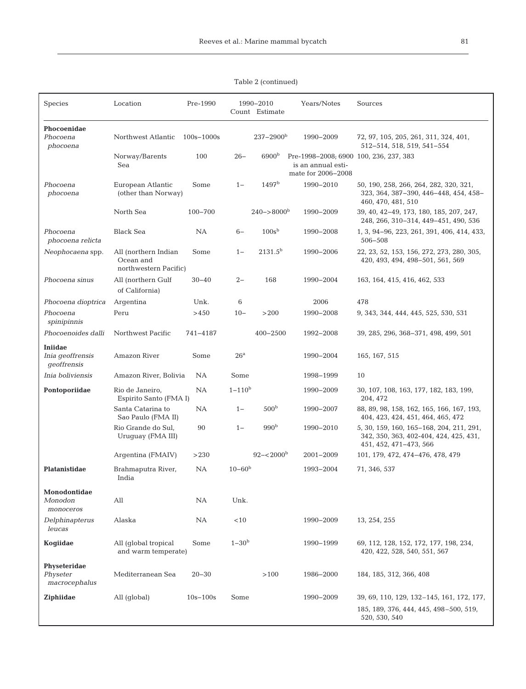| <b>Species</b>                             | Location                                                   | Pre-1990       |                   | 1990-2010<br>Count Estimate | Years/Notes                                                                        | Sources                                                                                                      |
|--------------------------------------------|------------------------------------------------------------|----------------|-------------------|-----------------------------|------------------------------------------------------------------------------------|--------------------------------------------------------------------------------------------------------------|
| Phocoenidae<br>Phocoena<br>phocoena        | Northwest Atlantic                                         | $100s - 1000s$ |                   | $237 - 2900^b$              | 1990-2009                                                                          | 72, 97, 105, 205, 261, 311, 324, 401,<br>512-514, 518, 519, 541-554                                          |
|                                            | Norway/Barents<br>Sea                                      | 100            | $26 -$            | 6900 <sup>b</sup>           | Pre-1998-2008; 6900 100, 236, 237, 383<br>is an annual esti-<br>mate for 2006-2008 |                                                                                                              |
| Phocoena<br>phocoena                       | European Atlantic<br>(other than Norway)                   | Some           | $1 -$             | 1497 <sup>b</sup>           | 1990-2010                                                                          | 50, 190, 258, 266, 264, 282, 320, 321,<br>323, 364, 387–390, 446–448, 454, 458–<br>460, 470, 481, 510        |
|                                            | North Sea                                                  | 100-700        |                   | $240 - > 8000$ <sup>b</sup> | 1990-2009                                                                          | 39, 40, 42-49, 173, 180, 185, 207, 247,<br>248, 266, 310-314, 449-451, 490, 536                              |
| Phocoena<br>phocoena relicta               | <b>Black Sea</b>                                           | <b>NA</b>      | $6-$              | 100s <sup>b</sup>           | 1990-2008                                                                          | 1, 3, 94-96, 223, 261, 391, 406, 414, 433,<br>506-508                                                        |
| Neophocaena spp.                           | All (northern Indian<br>Ocean and<br>northwestern Pacific) | Some           | $1 -$             | 2131.5 <sup>b</sup>         | 1990-2006                                                                          | 22, 23, 52, 153, 156, 272, 273, 280, 305,<br>420, 493, 494, 498–501, 561, 569                                |
| Phocoena sinus                             | All (northern Gulf<br>of California)                       | $30 - 40$      | $2 -$             | 168                         | 1990-2004                                                                          | 163, 164, 415, 416, 462, 533                                                                                 |
| Phocoena dioptrica                         | Argentina                                                  | Unk.           | 6                 |                             | 2006                                                                               | 478                                                                                                          |
| Phocoena<br>spinipinnis                    | Peru                                                       | >450           | $10 -$            | >200                        | 1990-2008                                                                          | 9, 343, 344, 444, 445, 525, 530, 531                                                                         |
| Phocoenoides dalli                         | Northwest Pacific                                          | 741-4187       |                   | $400 - 2500$                | 1992-2008                                                                          | 39, 285, 296, 368-371, 498, 499, 501                                                                         |
| Iniidae<br>Inia geoffrensis<br>qeoffrensis | Amazon River                                               | Some           | 26 <sup>a</sup>   |                             | 1990-2004                                                                          | 165, 167, 515                                                                                                |
| Inia boliviensis                           | Amazon River, Bolivia                                      | <b>NA</b>      | Some              |                             | 1998-1999                                                                          | 10                                                                                                           |
| Pontoporiidae                              | Rio de Janeiro,<br>Espirito Santo (FMA I)                  | <b>NA</b>      | $1 - 110^{b}$     |                             | 1990-2009                                                                          | 30, 107, 108, 163, 177, 182, 183, 199,<br>204, 472                                                           |
|                                            | Santa Catarina to<br>Sao Paulo (FMA II)                    | <b>NA</b>      | $1 -$             | 500 <sup>b</sup>            | 1990-2007                                                                          | 88, 89, 98, 158, 162, 165, 166, 167, 193,<br>404, 423, 424, 451, 464, 465, 472                               |
|                                            | Rio Grande do Sul,<br>Uruguay (FMA III)                    | 90             | $1 -$             | 990 <sup>b</sup>            | 1990-2010                                                                          | 5, 30, 159, 160, 165-168, 204, 211, 291,<br>342, 350, 363, 402-404, 424, 425, 431,<br>451, 452, 471-473, 566 |
|                                            | Argentina (FMAIV)                                          | >230           |                   | $92 - 2000^{\circ}$         | 2001-2009                                                                          | 101, 179, 472, 474-476, 478, 479                                                                             |
| Platanistidae                              | Brahmaputra River,<br>India                                | NA.            | $10 - 60^{\rm b}$ |                             | 1993-2004                                                                          | 71, 346, 537                                                                                                 |
| Monodontidae<br>Monodon<br>monoceros       | $\mathop{\mathrm{All}}\nolimits$                           | NA             | Unk.              |                             |                                                                                    |                                                                                                              |
| Delphinapterus<br>leucas                   | Alaska                                                     | NA.            | <10               |                             | 1990-2009                                                                          | 13, 254, 255                                                                                                 |
| Koqiidae                                   | All (global tropical<br>and warm temperate)                | Some           | $1 - 30b$         |                             | 1990-1999                                                                          | 69, 112, 128, 152, 172, 177, 198, 234,<br>420, 422, 528, 540, 551, 567                                       |
| Physeteridae<br>Physeter<br>macrocephalus  | Mediterranean Sea                                          | $20 - 30$      |                   | >100                        | 1986-2000                                                                          | 184, 185, 312, 366, 408                                                                                      |
| Ziphiidae                                  | All (global)                                               | $10s - 100s$   | Some              |                             | 1990-2009                                                                          | 39, 69, 110, 129, 132–145, 161, 172, 177,<br>185, 189, 376, 444, 445, 498-500, 519,<br>520, 530, 540         |

# Table 2 (continued)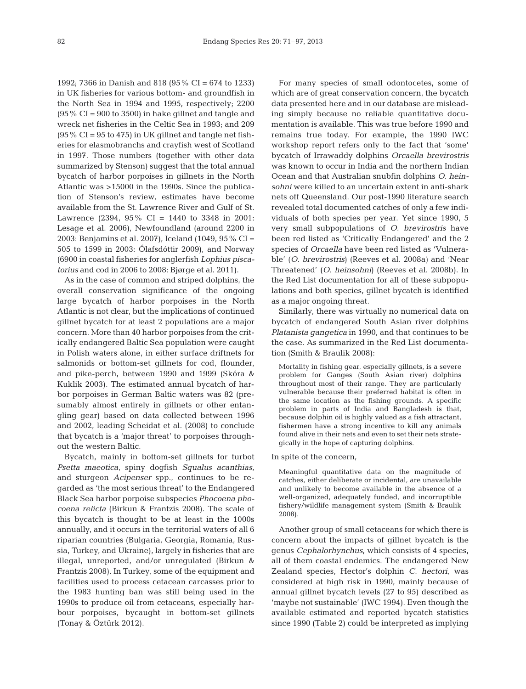1992; 7366 in Danish and 818 (95% CI = 674 to 1233) in UK fisheries for various bottom- and groundfish in the North Sea in 1994 and 1995, respectively; 2200  $(95\% \text{ CI} = 900 \text{ to } 3500)$  in hake gillnet and tangle and wreck net fisheries in the Celtic Sea in 1993; and 209  $(95\% \text{ CI} = 95 \text{ to } 475)$  in UK gillnet and tangle net fisheries for elasmobranchs and crayfish west of Scotland in 1997. Those numbers (together with other data summarized by Stenson) suggest that the total annual bycatch of harbor porpoises in gillnets in the North Atlantic was >15000 in the 1990s. Since the publication of Stenson's review, estimates have become available from the St. Lawrence River and Gulf of St. Lawrence (2394, 95% CI = 1440 to 3348 in 2001: Lesage et al. 2006), Newfoundland (around 2200 in 2003: Benjamins et al. 2007), Iceland (1049, 95% CI = 505 to 1599 in 2003: Ólafsdóttir 2009), and Norway (6900 in coastal fisheries for anglerfish *Lophius piscatorius* and cod in 2006 to 2008: Bjørge et al. 2011).

As in the case of common and striped dolphins, the overall conservation significance of the ongoing large bycatch of harbor porpoises in the North Atlantic is not clear, but the implications of continued gillnet bycatch for at least 2 populations are a major concern. More than 40 harbor porpoises from the critically endangered Baltic Sea population were caught in Polish waters alone, in either surface driftnets for salmonids or bottom-set gillnets for cod, flounder, and pike-perch, between 1990 and 1999 (Skóra & Kuklik 2003). The estimated annual bycatch of harbor porpoises in German Baltic waters was 82 (presumably almost entirely in gillnets or other entangling gear) based on data collected between 1996 and 2002, leading Scheidat et al. (2008) to conclude that bycatch is a 'major threat' to porpoises throughout the western Baltic.

Bycatch, mainly in bottom-set gillnets for turbot *Psetta maeotica*, spiny dogfish *Squalus acanthias*, and sturgeon *Acipenser* spp., continues to be regarded as 'the most serious threat' to the Endangered Black Sea harbor porpoise subspecies *Phocoena phocoena relicta* (Birkun & Frantzis 2008). The scale of this bycatch is thought to be at least in the 1000s annually, and it occurs in the territorial waters of all 6 riparian countries (Bulgaria, Georgia, Romania, Russia, Turkey, and Ukraine), largely in fisheries that are illegal, unreported, and/or unregulated (Birkun & Frantzis 2008). In Turkey, some of the equipment and facilities used to process cetacean carcasses prior to the 1983 hunting ban was still being used in the 1990s to produce oil from cetaceans, especially harbour porpoises, bycaught in bottom-set gillnets (Tonay & Öztürk 2012).

For many species of small odontocetes, some of which are of great conservation concern, the bycatch data presented here and in our database are misleading simply because no reliable quantitative documentation is available. This was true before 1990 and remains true today. For example, the 1990 IWC workshop report refers only to the fact that 'some' bycatch of Irrawaddy dolphins *Orcaella brevirostris* was known to occur in India and the northern Indian Ocean and that Australian snubfin dolphins *O. heinsohni* were killed to an uncertain extent in anti-shark nets off Queensland. Our post-1990 literature search revealed total documented catches of only a few individuals of both species per year. Yet since 1990, 5 very small subpopulations of *O. brevirostris* have been red listed as 'Critically Endangered' and the 2 species of *Orcaella* have been red listed as 'Vulnerable' (*O. brevirostris*) (Reeves et al. 2008a) and 'Near Threatened' (*O. heinsohni*) (Reeves et al. 2008b). In the Red List documentation for all of these subpopulations and both species, gillnet bycatch is identified as a major ongoing threat.

Similarly, there was virtually no numerical data on bycatch of endangered South Asian river dolphins *Platanista gangetica* in 1990, and that continues to be the case. As summarized in the Red List documentation (Smith & Braulik 2008):

Mortality in fishing gear, especially gillnets, is a severe problem for Ganges (South Asian river) dolphins throughout most of their range. They are particularly vulnerable because their preferred habitat is often in the same location as the fishing grounds. A specific problem in parts of India and Bangladesh is that, because dolphin oil is highly valued as a fish attractant, fishermen have a strong incentive to kill any animals found alive in their nets and even to set their nets strategically in the hope of capturing dolphins.

#### In spite of the concern,

Meaningful quantitative data on the magnitude of catches, either deliberate or incidental, are unavailable and unlikely to become available in the absence of a well-organized, adequately funded, and incorruptible fishery/wildlife management system (Smith & Braulik 2008).

Another group of small cetaceans for which there is concern about the impacts of gillnet bycatch is the genus *Cephalorhynchus*, which consists of 4 species, all of them coastal endemics. The endangered New Zealand species, Hector's dolphin *C. hectori*, was considered at high risk in 1990, mainly because of annual gillnet bycatch levels (27 to 95) described as 'maybe not sustainable' (IWC 1994). Even though the available estimated and reported bycatch statistics since 1990 (Table 2) could be interpreted as implying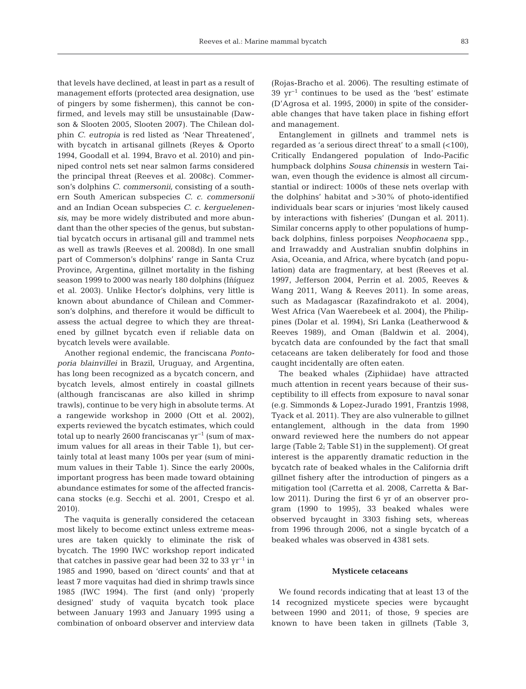that levels have declined, at least in part as a result of management efforts (protected area designation, use of pingers by some fishermen), this cannot be confirmed, and levels may still be unsustainable (Dawson & Slooten 2005, Slooten 2007). The Chilean dolphin *C. eutropia* is red listed as 'Near Threatened', with bycatch in artisanal gillnets (Reyes & Oporto 1994, Goodall et al. 1994, Bravo et al. 2010) and pinniped control nets set near salmon farms considered the principal threat (Reeves et al. 2008c). Commerson's dolphins *C. commersonii*, consisting of a southern South American subspecies *C. c. commersonii* and an Indian Ocean subspecies *C. c. kerguelenensis*, may be more widely distributed and more abundant than the other species of the genus, but substantial bycatch occurs in artisanal gill and trammel nets as well as trawls (Reeves et al. 2008d). In one small part of Commerson's dolphins' range in Santa Cruz Province, Argentina, gillnet mortality in the fishing season 1999 to 2000 was nearly 180 dolphins (Iñíguez et al. 2003). Unlike Hector's dolphins, very little is known about abundance of Chilean and Commerson's dolphins, and therefore it would be difficult to assess the actual degree to which they are threatened by gillnet bycatch even if reliable data on bycatch levels were available.

Another regional endemic, the franciscana *Pontoporia blainvillei* in Brazil, Uruguay, and Argentina, has long been recognized as a bycatch concern, and bycatch levels, almost entirely in coastal gillnets (although franciscanas are also killed in shrimp trawls), continue to be very high in absolute terms. At a rangewide workshop in 2000 (Ott et al. 2002), experts reviewed the bycatch estimates, which could total up to nearly 2600 franciscanas  $yr^{-1}$  (sum of maximum values for all areas in their Table 1), but certainly total at least many 100s per year (sum of minimum values in their Table 1). Since the early 2000s, important progress has been made toward obtaining abundance estimates for some of the affected franciscana stocks (e.g. Secchi et al. 2001, Crespo et al. 2010).

The vaquita is generally considered the cetacean most likely to become extinct unless extreme measures are taken quickly to eliminate the risk of bycatch. The 1990 IWC workshop report indicated that catches in passive gear had been 32 to 33  $\rm{yr}^{-1}$  in 1985 and 1990, based on 'direct counts' and that at least 7 more vaquitas had died in shrimp trawls since 1985 (IWC 1994). The first (and only) 'properly designed' study of vaquita bycatch took place between January 1993 and January 1995 using a combination of onboard observer and interview data

(Rojas-Bracho et al. 2006). The resulting estimate of 39 yr−1 continues to be used as the 'best' estimate (D'Agrosa et al. 1995, 2000) in spite of the considerable changes that have taken place in fishing effort and management.

Entanglement in gillnets and trammel nets is regarded as 'a serious direct threat' to a small (<100), Critically Endangered population of Indo-Pacific humpback dolphins *Sousa chinensis* in western Taiwan, even though the evidence is almost all circumstantial or indirect: 1000s of these nets overlap with the dolphins' habitat and >30% of photo-identified individuals bear scars or injuries 'most likely caused by interactions with fisheries' (Dungan et al. 2011). Similar concerns apply to other populations of humpback dolphins, finless porpoises *Neophocaena* spp., and Irrawaddy and Australian snubfin dolphins in Asia, Oceania, and Africa, where bycatch (and population) data are fragmentary, at best (Reeves et al. 1997, Jefferson 2004, Perrin et al. 2005, Reeves & Wang 2011, Wang & Reeves 2011). In some areas, such as Madagascar (Razafindrakoto et al. 2004), West Africa (Van Waerebeek et al. 2004), the Philippines (Dolar et al. 1994), Sri Lanka (Leatherwood & Reeves 1989), and Oman (Baldwin et al. 2004), bycatch data are confounded by the fact that small cetaceans are taken deliberately for food and those caught incidentally are often eaten.

The beaked whales (Ziphiidae) have attracted much attention in recent years because of their susceptibility to ill effects from exposure to naval sonar (e.g. Simmonds & Lopez-Jurado 1991, Frantzis 1998, Tyack et al. 2011). They are also vulnerable to gillnet entanglement, although in the data from 1990 onward reviewed here the numbers do not appear large (Table 2; Table S1) in the supplement). Of great interest is the apparently dramatic reduction in the bycatch rate of beaked whales in the California drift gillnet fishery after the introduction of pingers as a mitigation tool (Carretta et al. 2008, Carretta & Barlow 2011). During the first 6 yr of an observer program (1990 to 1995), 33 beaked whales were observed bycaught in 3303 fishing sets, whereas from 1996 through 2006, not a single bycatch of a beaked whales was observed in 4381 sets.

## **Mysticete cetaceans**

We found records indicating that at least 13 of the 14 recognized mysticete species were bycaught between 1990 and 2011; of those, 9 species are known to have been taken in gillnets (Table 3,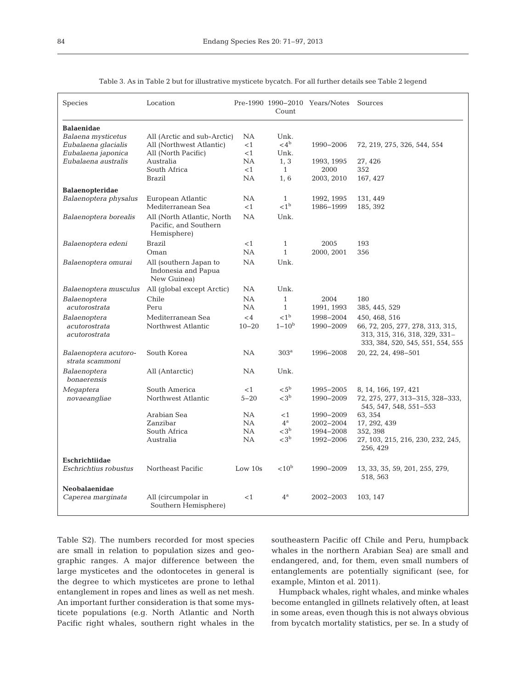| Species                                                        | Location                                                            |                         | Count                                   | Pre-1990 1990-2010 Years/Notes      | Sources                                                                                                                 |
|----------------------------------------------------------------|---------------------------------------------------------------------|-------------------------|-----------------------------------------|-------------------------------------|-------------------------------------------------------------------------------------------------------------------------|
| <b>Balaenidae</b><br>Balaena mysticetus<br>Eubalaena glacialis | All (Arctic and sub-Arctic)<br>All (Northwest Atlantic)             | NA<br><1                | Unk.<br>$<$ 4 <sup>b</sup>              | 1990-2006                           | 72, 219, 275, 326, 544, 554                                                                                             |
| Eubalaena japonica<br>Eubalaena australis                      | All (North Pacific)<br>Australia<br>South Africa                    | $<$ 1<br>NA.<br>$<$ 1   | Unk.<br>1, 3<br>$\mathbf{1}$            | 1993, 1995<br>2000                  | 27, 426<br>352                                                                                                          |
|                                                                | Brazil                                                              | NA                      | 1,6                                     | 2003, 2010                          | 167, 427                                                                                                                |
| <b>Balaenopteridae</b><br>Balaenoptera physalus                | European Atlantic<br>Mediterranean Sea                              | NА<br>$<$ 1             | $\mathbf{1}$<br>< 1 <sup>b</sup>        | 1992, 1995<br>1986-1999             | 131, 449<br>185, 392                                                                                                    |
| Balaenoptera borealis                                          | All (North Atlantic, North)<br>Pacific, and Southern<br>Hemisphere) | <b>NA</b>               | Unk.                                    |                                     |                                                                                                                         |
| Balaenoptera edeni                                             | Brazil<br>Oman                                                      | ${<}1$<br>NA            | $\mathbf{1}$<br>$\mathbf{1}$            | 2005<br>2000, 2001                  | 193<br>356                                                                                                              |
| Balaenoptera omurai                                            | All (southern Japan to<br>Indonesia and Papua<br>New Guinea)        | NA                      | Unk.                                    |                                     |                                                                                                                         |
| Balaenoptera musculus                                          | All (global except Arctic)                                          | <b>NA</b>               | Unk.                                    |                                     |                                                                                                                         |
| Balaenoptera                                                   | Chile                                                               | <b>NA</b>               | $\mathbf{1}$                            | 2004                                | 180                                                                                                                     |
| acutorostrata                                                  | Peru                                                                | <b>NA</b>               | $\mathbf{1}$                            | 1991, 1993                          | 385, 445, 529                                                                                                           |
| Balaenoptera<br>acutorostrata<br>acutorostrata                 | Mediterranean Sea<br>Northwest Atlantic                             | $\lt$ 4<br>$10 - 20$    | < 1 <sup>b</sup><br>$1 - 10^{b}$        | 1998-2004<br>1990-2009              | 450, 468, 516<br>66, 72, 205, 277, 278, 313, 315,<br>313, 315, 316, 318, 329, 331-<br>333, 384, 520, 545, 551, 554, 555 |
| Balaenoptera acutoro-<br>strata scammoni                       | South Korea                                                         | NA                      | 303 <sup>a</sup>                        | 1996-2008                           | 20, 22, 24, 498-501                                                                                                     |
| Balaenoptera<br>bonaerensis                                    | All (Antarctic)                                                     | NA.                     | Unk.                                    |                                     |                                                                                                                         |
| Megaptera<br>novaeangliae                                      | South America<br>Northwest Atlantic                                 | $<$ 1<br>$5 - 20$       | $< 5^{\rm b}$<br>$<$ 3 <sup>b</sup>     | 1995-2005<br>1990-2009              | 8, 14, 166, 197, 421<br>72, 275, 277, 313-315, 328-333,<br>545, 547, 548, 551-553                                       |
|                                                                | Arabian Sea<br>Zanzibar<br>South Africa                             | <b>NA</b><br>NA.<br>NA. | <1<br>$4^{\rm a}$<br>$<$ 3 <sup>b</sup> | 1990-2009<br>2002-2004<br>1994-2008 | 63, 354<br>17, 292, 439                                                                                                 |
|                                                                | Australia                                                           | NA.                     | $<$ 3 <sup>b</sup>                      | 1992-2006                           | 352, 398<br>27, 103, 215, 216, 230, 232, 245,<br>256, 429                                                               |
| Eschrichtiidae<br>Eschrichtius robustus                        | Northeast Pacific                                                   | Low $10s$               | ${<}10b$                                | 1990-2009                           | 13, 33, 35, 59, 201, 255, 279,<br>518, 563                                                                              |
| Neobalaenidae<br>Caperea marginata                             | All (circumpolar in<br>Southern Hemisphere)                         | < 1                     | $4^{\rm a}$                             | 2002-2003                           | 103, 147                                                                                                                |

Table 3. As in Table 2 but for illustrative mysticete bycatch. For all further details see Table 2 legend

Table S2). The numbers recorded for most species are small in relation to population sizes and geographic ranges. A major difference between the large mysticetes and the odontocetes in general is the degree to which mysticetes are prone to lethal entanglement in ropes and lines as well as net mesh. An important further consideration is that some mysticete populations (e.g. North Atlantic and North Pacific right whales, southern right whales in the southeastern Pacific off Chile and Peru, humpback whales in the northern Arabian Sea) are small and endangered, and, for them, even small numbers of entanglements are potentially significant (see, for example, Minton et al. 2011).

Humpback whales, right whales, and minke whales become entangled in gillnets relatively often, at least in some areas, even though this is not always obvious from bycatch mortality statistics, per se. In a study of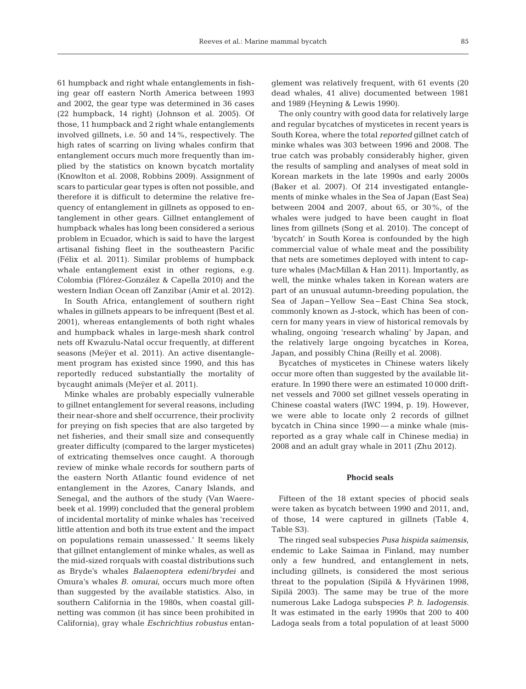61 humpback and right whale entanglements in fishing gear off eastern North America between 1993 and 2002, the gear type was determined in 36 cases (22 humpback, 14 right) (Johnson et al. 2005). Of those, 11 humpback and 2 right whale entanglements involved gillnets, i.e. 50 and 14%, respectively. The high rates of scarring on living whales confirm that entanglement occurs much more frequently than implied by the statistics on known bycatch mortality (Knowlton et al. 2008, Robbins 2009). Assignment of scars to particular gear types is often not possible, and therefore it is difficult to determine the relative frequency of entanglement in gillnets as opposed to entanglement in other gears. Gillnet entanglement of humpback whales has long been considered a serious problem in Ecuador, which is said to have the largest artisanal fishing fleet in the southeastern Pacific (Félix et al. 2011). Similar problems of humpback whale entanglement exist in other regions, e.g. Colombia (Flórez-González & Capella 2010) and the western Indian Ocean off Zanzibar (Amir et al. 2012).

In South Africa, entanglement of southern right whales in gillnets appears to be infrequent (Best et al. 2001), whereas entanglements of both right whales and humpback whales in large-mesh shark control nets off Kwazulu-Natal occur frequently, at different seasons (Meÿer et al. 2011). An active disentanglement program has existed since 1990, and this has reportedly reduced substantially the mortality of bycaught animals (Meÿer et al. 2011).

Minke whales are probably especially vulnerable to gillnet entanglement for several reasons, including their near-shore and shelf occurrence, their proclivity for preying on fish species that are also targeted by net fisheries, and their small size and consequently greater difficulty (compared to the larger mysticetes) of extricating themselves once caught. A thorough review of minke whale records for southern parts of the eastern North Atlantic found evidence of net entanglement in the Azores, Canary Islands, and Senegal, and the authors of the study (Van Waerebeek et al. 1999) concluded that the general problem of incidental mortality of minke whales has 'received little attention and both its true extent and the impact on populations remain unassessed.' It seems likely that gillnet entanglement of minke whales, as well as the mid-sized rorquals with coastal distributions such as Bryde's whales *Balaenoptera edeni/brydei* and Omura's whales *B. omurai*, occurs much more often than suggested by the available statistics. Also, in southern California in the 1980s, when coastal gillnetting was common (it has since been prohibited in California), gray whale *Eschrichtius robustus* entanglement was relatively frequent, with 61 events (20 dead whales, 41 alive) documented between 1981 and 1989 (Heyning & Lewis 1990).

The only country with good data for relatively large and regular bycatches of mysticetes in recent years is South Korea, where the total *reported* gillnet catch of minke whales was 303 between 1996 and 2008. The true catch was probably considerably higher, given the results of sampling and analyses of meat sold in Korean markets in the late 1990s and early 2000s (Baker et al. 2007). Of 214 investigated entanglements of minke whales in the Sea of Japan (East Sea) between 2004 and 2007, about 65, or 30%, of the whales were judged to have been caught in float lines from gillnets (Song et al. 2010). The concept of 'bycatch' in South Korea is confounded by the high commercial value of whale meat and the possibility that nets are sometimes deployed with intent to capture whales (MacMillan & Han 2011). Importantly, as well, the minke whales taken in Korean waters are part of an unusual autumn-breeding population, the Sea of Japan−Yellow Sea−East China Sea stock, commonly known as J-stock, which has been of concern for many years in view of historical removals by whaling, ongoing 'research whaling' by Japan, and the relatively large ongoing bycatches in Korea, Japan, and possibly China (Reilly et al. 2008).

Bycatches of mysticetes in Chinese waters likely occur more often than suggested by the available literature. In 1990 there were an estimated 10 000 driftnet vessels and 7000 set gillnet vessels operating in Chinese coastal waters (IWC 1994, p. 19). However, we were able to locate only 2 records of gillnet bycatch in China since 1990 — a minke whale (mis reported as a gray whale calf in Chinese media) in 2008 and an adult gray whale in 2011 (Zhu 2012).

# **Phocid seals**

Fifteen of the 18 extant species of phocid seals were taken as bycatch between 1990 and 2011, and, of those, 14 were captured in gillnets (Table 4, Table S3).

The ringed seal subspecies *Pusa hispida saimensis*, endemic to Lake Saimaa in Finland, may number only a few hundred, and entanglement in nets, including gillnets, is considered the most serious threat to the population (Sipilä & Hyvärinen 1998, Sipilä 2003). The same may be true of the more numerous Lake Ladoga subspecies *P. h. ladogensis*. It was estimated in the early 1990s that 200 to 400 Ladoga seals from a total population of at least 5000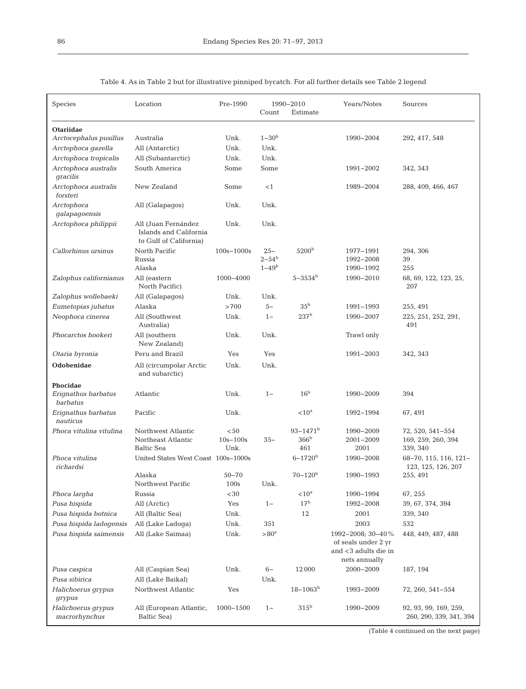| Species                             | Location                                                                | Pre-1990                     | Count                      | 1990-2010<br>Estimate    | Years/Notes                                                  | Sources                                          |
|-------------------------------------|-------------------------------------------------------------------------|------------------------------|----------------------------|--------------------------|--------------------------------------------------------------|--------------------------------------------------|
| <b>Otariidae</b>                    |                                                                         |                              |                            |                          |                                                              |                                                  |
| Arctocephalus pusillus              | Australia                                                               | Unk.                         | $1 - 30b$                  |                          | 1990-2004                                                    | 292, 417, 548                                    |
| Arctophoca gazella                  | All (Antarctic)                                                         | Unk.                         | Unk.                       |                          |                                                              |                                                  |
| Arctophoca tropicalis               | All (Subantarctic)                                                      | Unk.                         | Unk.                       |                          |                                                              |                                                  |
| Arctophoca australis<br>gracilis    | South America                                                           | Some                         | Some                       |                          | 1991-2002                                                    | 342, 343                                         |
| Arctophoca australis<br>forsteri    | New Zealand                                                             | Some                         | <1                         |                          | 1989-2004                                                    | 288, 409, 466, 467                               |
| Arctophoca<br>galapagoensis         | All (Galapagos)                                                         | Unk.                         | Unk.                       |                          |                                                              |                                                  |
| Arctophoca philippii                | All (Juan Fernández<br>Islands and California<br>to Gulf of California) | Unk.                         | Unk.                       |                          |                                                              |                                                  |
| Callorhinus ursinus                 | North Pacific<br>Russia                                                 | $100s - 1000s$               | $25 -$<br>$2 - 54^{\rm b}$ | 5200 <sup>b</sup>        | 1977-1991<br>1992-2008                                       | 294, 306<br>39                                   |
|                                     | Alaska                                                                  |                              | $1 - 49^{\rm b}$           |                          | 1990-1992                                                    | 255                                              |
| Zalophus californianus              | All (eastern<br>North Pacific)                                          | 1000-4000                    |                            | $5 - 3534$ <sup>b</sup>  | 1990-2010                                                    | 68, 69, 122, 123, 25,<br>207                     |
| Zalophus wollebaeki                 | All (Galapagos)                                                         | Unk.                         | Unk.                       |                          |                                                              |                                                  |
| Eumetopias jubatus                  | Alaska                                                                  | >700                         | $5-$                       | 35 <sup>b</sup>          | 1991-1993                                                    | 255, 491                                         |
| Neophoca cinerea                    | All (Southwest<br>Australia)                                            | Unk.                         | $1 -$                      | 237 <sup>b</sup>         | 1990-2007                                                    | 225, 251, 252, 291,<br>491                       |
| Phocarctos hookeri                  | All (southern<br>New Zealand)                                           | Unk.                         | Unk.                       |                          | Trawl only                                                   |                                                  |
| Otaria byronia                      | Peru and Brazil                                                         | Yes                          | Yes                        |                          | 1991-2003                                                    | 342, 343                                         |
| Odobenidae                          | All (circumpolar Arctic<br>and subarctic)                               | Unk.                         | Unk.                       |                          |                                                              |                                                  |
| <b>Phocidae</b>                     |                                                                         |                              |                            |                          |                                                              |                                                  |
| Erignathus barbatus<br>barbatus     | Atlantic                                                                | Unk.                         | $1 -$                      | 16 <sup>b</sup>          | 1990-2009                                                    | 394                                              |
| Erignathus barbatus<br>nauticus     | Pacific                                                                 | Unk.                         |                            | $< 10^{\mathrm{a}}$      | 1992-1994                                                    | 67, 491                                          |
| Phoca vitulina vitulina             | Northwest Atlantic                                                      | < 50                         |                            | $93 - 1471$ <sup>b</sup> | 1990-2009                                                    | 72, 520, 541-554                                 |
|                                     | Northeast Atlantic                                                      | $10s - 100s$                 | $35 -$                     | 366 <sup>b</sup>         | 2001-2009                                                    | 169, 259, 260, 394                               |
|                                     | <b>Baltic Sea</b>                                                       | Unk.                         |                            | 461                      | 2001                                                         | 339, 340                                         |
| Phoca vitulina<br>richardsi         | United States West Coast 100s-1000s                                     |                              |                            | $6 - 1720$ <sup>b</sup>  | 1990-2008                                                    | 68-70, 115, 116, 121-<br>123, 125, 126, 207      |
|                                     | Alaska<br>Northwest Pacific                                             | $50 - 70$<br>$100\mathrm{s}$ | Unk.                       | $70 - 120b$              | 1990-1993                                                    | 255, 491                                         |
| Phoca largha                        | Russia                                                                  | ${<}30\,$                    |                            | $< 10^{\mathrm{a}}$      | 1990-1994                                                    | 67, 255                                          |
| Pusa hispida                        | All (Arctic)                                                            | Yes                          | $1 -$                      | 17 <sup>b</sup>          | 1992-2008                                                    | 39, 67, 374, 394                                 |
| Pusa hispida botnica                | All (Baltic Sea)                                                        | Unk.                         |                            | 12                       | 2001                                                         | 339, 340                                         |
| Pusa hispida ladogensis             | All (Lake Ladoqa)                                                       | Unk.                         | 351                        |                          | 2003                                                         | 532                                              |
| Pusa hispida saimensis              | All (Lake Saimaa)                                                       | Unk.                         | $> 80a$                    |                          | 1992-2008; 30-40%                                            | 448, 449, 487, 488                               |
|                                     |                                                                         |                              |                            |                          | of seals under 2 yr<br>and <3 adults die in<br>nets annually |                                                  |
| Pusa caspica                        | All (Caspian Sea)                                                       | Unk.                         | $6-$                       | 12000                    | 2000-2009                                                    | 187, 194                                         |
| Pusa sibirica                       | All (Lake Baikal)                                                       |                              | Unk.                       |                          |                                                              |                                                  |
| Halichoerus grypus<br>grypus        | Northwest Atlantic                                                      | Yes                          |                            | $18 - 1063^b$            | 1993-2009                                                    | 72, 260, 541–554                                 |
| Halichoerus grypus<br>macrorhynchus | All (European Atlantic,<br>Baltic Sea)                                  | 1000-1500                    | $1 -$                      | 315 <sup>b</sup>         | 1990-2009                                                    | 92, 93, 99, 169, 259,<br>260, 290, 339, 341, 394 |

Table 4. As in Table 2 but for illustrative pinniped bycatch. For all further details see Table 2 legend

(Table 4 continued on the next page)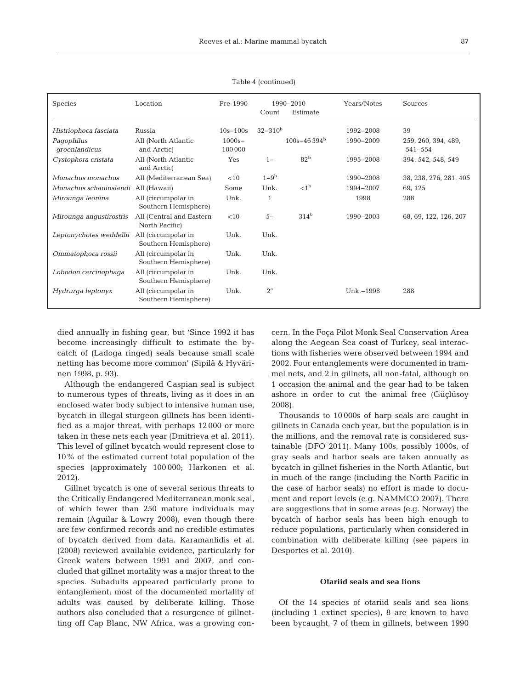| <b>Species</b>                      | Location                                    | Pre-1990             | Count            | 1990-2010<br>Estimate | <b>Years/Notes</b> | Sources                            |
|-------------------------------------|---------------------------------------------|----------------------|------------------|-----------------------|--------------------|------------------------------------|
| Histriophoca fasciata               | Russia                                      | $10s - 100s$         | $32 - 310^b$     |                       | 1992-2008          | 39                                 |
| Pagophilus<br>groenlandicus         | All (North Atlantic<br>and Arctic)          | $1000s -$<br>100 000 |                  | $100s - 46394^b$      | 1990-2009          | 259, 260, 394, 489,<br>$541 - 554$ |
| Cystophora cristata                 | All (North Atlantic<br>and Arctic)          | Yes                  | $1 -$            | 82 <sup>b</sup>       | 1995-2008          | 394, 542, 548, 549                 |
| Monachus monachus                   | All (Mediterranean Sea)                     | < 10                 | $1-9b$           |                       | 1990-2008          | 38, 238, 276, 281, 405             |
| Monachus schauinslandi All (Hawaii) |                                             | Some                 | Unk.             | < 1 <sup>b</sup>      | 1994-2007          | 69, 125                            |
| Mirounga leonina                    | All (circumpolar in<br>Southern Hemisphere) | Unk.                 | 1                |                       | 1998               | 288                                |
| Mirounga angustirostris             | All (Central and Eastern<br>North Pacific)  | < 10                 | $5-$             | 314 <sup>b</sup>      | 1990-2003          | 68, 69, 122, 126, 207              |
| Leptonychotes weddellii             | All (circumpolar in<br>Southern Hemisphere) | Unk.                 | Unk.             |                       |                    |                                    |
| Ommatophoca rossii                  | All (circumpolar in<br>Southern Hemisphere) | Unk.                 | Unk.             |                       |                    |                                    |
| Lobodon carcinophaga                | All (circumpolar in<br>Southern Hemisphere) | Unk.                 | Unk.             |                       |                    |                                    |
| Hydrurga leptonyx                   | All (circumpolar in<br>Southern Hemisphere) | Unk.                 | $2^{\mathrm{a}}$ |                       | Unk.-1998          | 288                                |

Table 4 (continued)

died annually in fishing gear, but 'Since 1992 it has become increasingly difficult to estimate the bycatch of (Ladoga ringed) seals because small scale netting has become more common' (Sipilä & Hyvärinen 1998, p. 93).

Although the endangered Caspian seal is subject to numerous types of threats, living as it does in an enclosed water body subject to intensive human use, bycatch in illegal sturgeon gillnets has been identified as a major threat, with perhaps 12 000 or more taken in these nets each year (Dmitrieva et al. 2011). This level of gillnet bycatch would represent close to 10% of the estimated current total population of the species (approximately 100 000; Harkonen et al. 2012).

Gillnet bycatch is one of several serious threats to the Critically Endangered Mediterranean monk seal, of which fewer than 250 mature individuals may remain (Aguilar & Lowry 2008), even though there are few confirmed records and no credible estimates of bycatch derived from data. Karamanlidis et al. (2008) reviewed available evidence, particularly for Greek waters between 1991 and 2007, and concluded that gillnet mortality was a major threat to the species. Subadults appeared particularly prone to entanglement; most of the documented mortality of adults was caused by deliberate killing. Those authors also concluded that a resurgence of gillnetting off Cap Blanc, NW Africa, was a growing concern. In the Foça Pilot Monk Seal Conservation Area along the Aegean Sea coast of Turkey, seal interactions with fisheries were observed between 1994 and 2002. Four entanglements were documented in trammel nets, and 2 in gillnets, all non-fatal, although on 1 occasion the animal and the gear had to be taken ashore in order to cut the animal free (Güçlüsoy 2008).

Thousands to 10 000s of harp seals are caught in gillnets in Canada each year, but the population is in the millions, and the removal rate is considered sustainable (DFO 2011). Many 100s, possibly 1000s, of gray seals and harbor seals are taken annually as bycatch in gillnet fisheries in the North Atlantic, but in much of the range (including the North Pacific in the case of harbor seals) no effort is made to document and report levels (e.g. NAMMCO 2007). There are suggestions that in some areas (e.g. Norway) the bycatch of harbor seals has been high enough to reduce populations, particularly when considered in combination with deliberate killing (see papers in Desportes et al. 2010).

# **Otariid seals and sea lions**

Of the 14 species of otariid seals and sea lions (including 1 extinct species), 8 are known to have been bycaught, 7 of them in gillnets, between 1990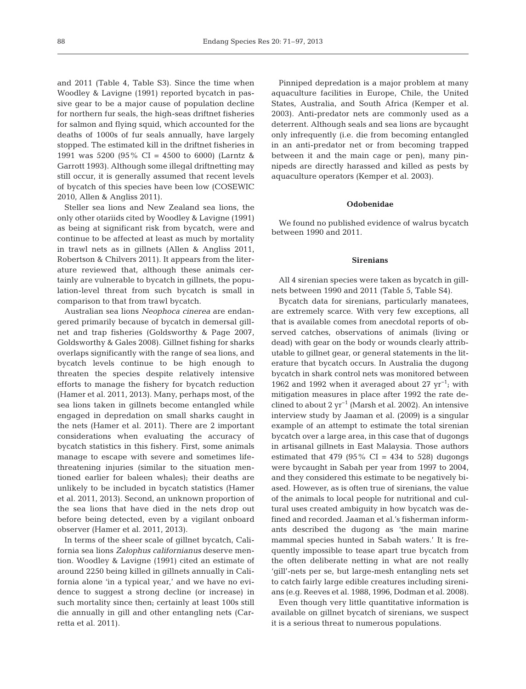and 2011 (Table 4, Table S3). Since the time when Woodley & Lavigne (1991) reported bycatch in passive gear to be a major cause of population decline for northern fur seals, the high-seas driftnet fisheries for salmon and flying squid, which accounted for the deaths of 1000s of fur seals annually, have largely stopped. The estimated kill in the driftnet fisheries in 1991 was 5200 (95% CI = 4500 to 6000) (Larntz & Garrott 1993). Although some illegal driftnetting may still occur, it is generally assumed that recent levels of bycatch of this species have been low (COSEWIC 2010, Allen & Angliss 2011).

Steller sea lions and New Zealand sea lions, the only other otariids cited by Woodley & Lavigne (1991) as being at significant risk from bycatch, were and continue to be affected at least as much by mortality in trawl nets as in gillnets (Allen & Angliss 2011, Robertson & Chilvers 2011). It appears from the literature reviewed that, although these animals certainly are vulnerable to bycatch in gillnets, the population-level threat from such bycatch is small in comparison to that from trawl bycatch.

Australian sea lions *Neophoca cinerea* are endangered primarily because of bycatch in demersal gillnet and trap fisheries (Goldsworthy & Page 2007, Goldsworthy & Gales 2008). Gillnet fishing for sharks overlaps significantly with the range of sea lions, and bycatch levels continue to be high enough to threaten the species despite relatively intensive efforts to manage the fishery for bycatch reduction (Hamer et al. 2011, 2013). Many, perhaps most, of the sea lions taken in gillnets become entangled while engaged in depredation on small sharks caught in the nets (Hamer et al. 2011). There are 2 important considerations when evaluating the accuracy of bycatch statistics in this fishery. First, some animals manage to escape with severe and sometimes lifethreatening injuries (similar to the situation mentioned earlier for baleen whales); their deaths are unlikely to be included in bycatch statistics (Hamer et al. 2011, 2013). Second, an unknown proportion of the sea lions that have died in the nets drop out before being detected, even by a vigilant onboard observer (Hamer et al. 2011, 2013).

In terms of the sheer scale of gillnet bycatch, California sea lions *Zalophus californianus* deserve mention. Woodley & Lavigne (1991) cited an estimate of around 2250 being killed in gillnets annually in California alone 'in a typical year,' and we have no evidence to suggest a strong decline (or increase) in such mortality since then; certainly at least 100s still die annually in gill and other entangling nets (Carretta et al. 2011).

Pinniped depredation is a major problem at many aquaculture facilities in Europe, Chile, the United States, Australia, and South Africa (Kemper et al. 2003). Anti-predator nets are commonly used as a deterrent. Although seals and sea lions are bycaught only infrequently (i.e. die from becoming entangled in an anti-predator net or from becoming trapped between it and the main cage or pen), many pinnipeds are directly harassed and killed as pests by aquaculture operators (Kemper et al. 2003).

#### **Odobenidae**

We found no published evidence of walrus bycatch between 1990 and 2011.

#### **Sirenians**

All 4 sirenian species were taken as bycatch in gillnets between 1990 and 2011 (Table 5, Table S4).

Bycatch data for sirenians, particularly manatees, are extremely scarce. With very few exceptions, all that is available comes from anecdotal reports of observed catches, observations of animals (living or dead) with gear on the body or wounds clearly attributable to gillnet gear, or general statements in the literature that bycatch occurs. In Australia the dugong bycatch in shark control nets was monitored between 1962 and 1992 when it averaged about 27 yr<sup>-1</sup>; with mitigation measures in place after 1992 the rate declined to about 2 yr−1 (Marsh et al. 2002). An intensive interview study by Jaaman et al. (2009) is a singular example of an attempt to estimate the total sirenian bycatch over a large area, in this case that of dugongs in artisanal gillnets in East Malaysia. Those authors estimated that 479 (95% CI = 434 to 528) dugongs were bycaught in Sabah per year from 1997 to 2004, and they considered this estimate to be negatively biased. However, as is often true of sirenians, the value of the animals to local people for nutritional and cultural uses created ambiguity in how bycatch was defined and recorded. Jaaman et al.'s fisherman informants described the dugong as 'the main marine mammal species hunted in Sabah waters.' It is frequently impossible to tease apart true bycatch from the often deliberate netting in what are not really 'gill'-nets per se, but large-mesh entangling nets set to catch fairly large edible creatures including sirenians (e.g. Reeves et al. 1988, 1996, Dodman et al. 2008).

Even though very little quantitative information is available on gillnet bycatch of sirenians, we suspect it is a serious threat to numerous populations.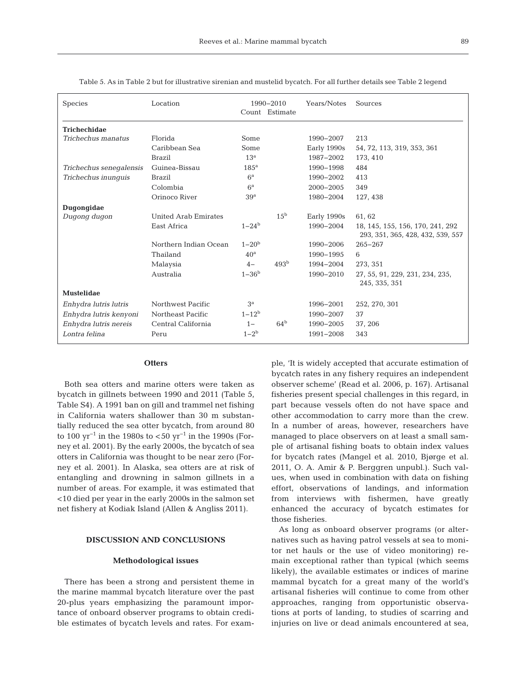| <b>Species</b>          | Location              |                 | 1990-2010<br>Count Estimate | <b>Years/Notes</b> | Sources                                                               |
|-------------------------|-----------------------|-----------------|-----------------------------|--------------------|-----------------------------------------------------------------------|
| <b>Trichechidae</b>     |                       |                 |                             |                    |                                                                       |
| Trichechus manatus      | Florida               | Some            |                             | 1990-2007          | 213                                                                   |
|                         | Caribbean Sea         | Some            |                             | Early 1990s        | 54, 72, 113, 319, 353, 361                                            |
|                         | <b>Brazil</b>         | 13 <sup>a</sup> |                             | 1987-2002          | 173, 410                                                              |
| Trichechus senegalensis | Guinea-Bissau         | $185^{\rm a}$   |                             | 1990-1998          | 484                                                                   |
| Trichechus inunguis     | Brazil                | 6 <sup>a</sup>  |                             | 1990-2002          | 413                                                                   |
|                         | Colombia              | $6^{\rm a}$     |                             | $2000 - 2005$      | 349                                                                   |
|                         | Orinoco River         | 39 <sup>a</sup> |                             | 1980-2004          | 127, 438                                                              |
| Dugongidae              |                       |                 |                             |                    |                                                                       |
| Dugong dugon            | United Arab Emirates  |                 | $15^{\rm b}$                | Early 1990s        | 61,62                                                                 |
|                         | East Africa           | $1 - 24b$       |                             | 1990-2004          | 18, 145, 155, 156, 170, 241, 292<br>293, 351, 365, 428, 432, 539, 557 |
|                         | Northern Indian Ocean | $1 - 20b$       |                             | 1990-2006          | $265 - 267$                                                           |
|                         | Thailand              | 40 <sup>a</sup> |                             | 1990-1995          | 6                                                                     |
|                         | Malaysia              | $4-$            | 493 <sup>b</sup>            | 1994-2004          | 273.351                                                               |
|                         | Australia             | $1 - 36b$       |                             | 1990-2010          | 27, 55, 91, 229, 231, 234, 235,<br>245, 335, 351                      |
| <b>Mustelidae</b>       |                       |                 |                             |                    |                                                                       |
| Enhydra lutris lutris   | Northwest Pacific     | 3 <sup>a</sup>  |                             | 1996-2001          | 252, 270, 301                                                         |
| Enhydra lutris kenyoni  | Northeast Pacific     | $1 - 12^b$      |                             | 1990-2007          | 37                                                                    |
| Enhydra lutris nereis   | Central California    | $1 -$           | 64 <sup>b</sup>             | 1990-2005          | 37, 206                                                               |
| Lontra felina           | Peru                  | $1 - 2^{b}$     |                             | 1991-2008          | 343                                                                   |

Table 5. As in Table 2 but for illustrative sirenian and mustelid bycatch. For all further details see Table 2 legend

### **Otters**

Both sea otters and marine otters were taken as bycatch in gillnets between 1990 and 2011 (Table 5, Table S4). A 1991 ban on gill and trammel net fishing in California waters shallower than 30 m substantially reduced the sea otter bycatch, from around 80 to 100 yr<sup>-1</sup> in the 1980s to <50 yr<sup>-1</sup> in the 1990s (Forney et al. 2001). By the early 2000s, the bycatch of sea otters in California was thought to be near zero (Forney et al. 2001). In Alaska, sea otters are at risk of entangling and drowning in salmon gillnets in a number of areas. For example, it was estimated that <10 died per year in the early 2000s in the salmon set net fishery at Kodiak Island (Allen & Angliss 2011).

# **DISCUSSION AND CONCLUSIONS**

#### **Methodological issues**

There has been a strong and persistent theme in the marine mammal bycatch literature over the past 20-plus years emphasizing the paramount importance of onboard observer programs to obtain credible estimates of bycatch levels and rates. For example, 'It is widely accepted that accurate estimation of bycatch rates in any fishery requires an independent observer scheme' (Read et al. 2006, p. 167). Artisanal fisheries present special challenges in this regard, in part because vessels often do not have space and other accommodation to carry more than the crew. In a number of areas, however, researchers have managed to place observers on at least a small sample of artisanal fishing boats to obtain index values for bycatch rates (Mangel et al. 2010, Bjørge et al. 2011, O. A. Amir & P. Berggren unpubl.). Such values, when used in combination with data on fishing effort, observations of landings, and information from interviews with fishermen, have greatly enhanced the accuracy of bycatch estimates for those fisheries.

As long as onboard observer programs (or alternatives such as having patrol vessels at sea to monitor net hauls or the use of video monitoring) re main exceptional rather than typical (which seems likely), the available estimates or indices of marine mammal bycatch for a great many of the world's artisanal fisheries will continue to come from other approaches, ranging from opportunistic observations at ports of landing, to studies of scarring and injuries on live or dead animals encountered at sea,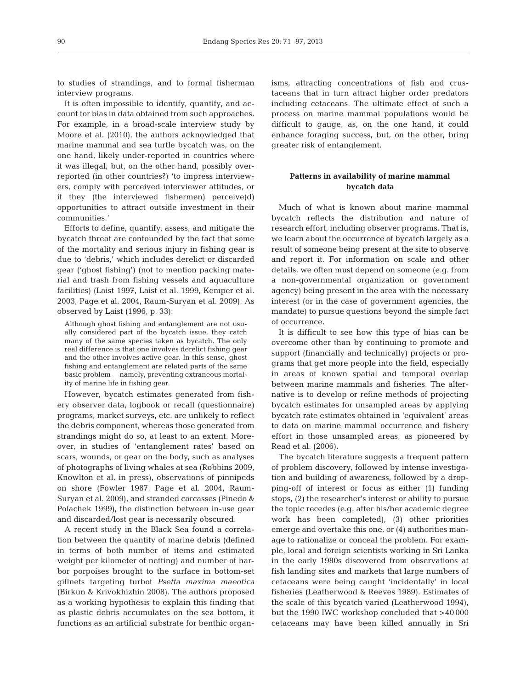to studies of strandings, and to formal fisherman interview programs.

It is often impossible to identify, quantify, and account for bias in data obtained from such approaches. For example, in a broad-scale interview study by Moore et al. (2010), the authors acknowledged that marine mammal and sea turtle bycatch was, on the one hand, likely under-reported in countries where it was illegal, but, on the other hand, possibly overreported (in other countries?) 'to impress interviewers, comply with perceived interviewer attitudes, or if they (the interviewed fishermen) perceive(d) opportunities to attract outside investment in their communities.'

Efforts to define, quantify, assess, and mitigate the bycatch threat are confounded by the fact that some of the mortality and serious injury in fishing gear is due to 'debris,' which includes derelict or discarded gear ('ghost fishing') (not to mention packing material and trash from fishing vessels and aquaculture facilities) (Laist 1997, Laist et al. 1999, Kemper et al. 2003, Page et al. 2004, Raum-Suryan et al. 2009). As observed by Laist (1996, p. 33):

Although ghost fishing and entanglement are not usually considered part of the bycatch issue, they catch many of the same species taken as bycatch. The only real difference is that one involves derelict fishing gear and the other involves active gear. In this sense, ghost fishing and entanglement are related parts of the same basic problem — namely, preventing extraneous mortality of marine life in fishing gear.

However, bycatch estimates generated from fishery observer data, logbook or recall (questionnaire) programs, market surveys, etc. are unlikely to reflect the debris component, whereas those generated from strandings might do so, at least to an extent. Moreover, in studies of 'entanglement rates' based on scars, wounds, or gear on the body, such as analyses of photographs of living whales at sea (Robbins 2009, Knowlton et al. in press), observations of pinnipeds on shore (Fowler 1987, Page et al. 2004, Raum-Suryan et al. 2009), and stranded carcasses (Pinedo & Polachek 1999), the distinction between in-use gear and discarded/lost gear is necessarily obscured.

A recent study in the Black Sea found a correlation between the quantity of marine debris (defined in terms of both number of items and estimated weight per kilometer of netting) and number of harbor porpoises brought to the surface in bottom-set gillnets targeting turbot *Psetta maxima maeotica* (Birkun & Krivokhizhin 2008). The authors proposed as a working hypothesis to explain this finding that as plastic debris accumulates on the sea bottom, it functions as an artificial substrate for benthic organisms, attracting concentrations of fish and crustaceans that in turn attract higher order predators including cetaceans. The ultimate effect of such a process on marine mammal populations would be difficult to gauge, as, on the one hand, it could enhance foraging success, but, on the other, bring greater risk of entanglement.

# **Patterns in availability of marine mammal bycatch data**

Much of what is known about marine mammal bycatch reflects the distribution and nature of research effort, including observer programs. That is, we learn about the occurrence of bycatch largely as a result of someone being present at the site to observe and report it. For information on scale and other details, we often must depend on someone (e.g. from a non-governmental organization or government agency) being present in the area with the necessary interest (or in the case of government agencies, the mandate) to pursue questions beyond the simple fact of occurrence.

It is difficult to see how this type of bias can be overcome other than by continuing to promote and support (financially and technically) projects or programs that get more people into the field, especially in areas of known spatial and temporal overlap between marine mammals and fisheries. The alternative is to develop or refine methods of projecting bycatch estimates for unsampled areas by applying bycatch rate estimates obtained in 'equivalent' areas to data on marine mammal occurrence and fishery effort in those unsampled areas, as pioneered by Read et al. (2006).

The bycatch literature suggests a frequent pattern of problem discovery, followed by intense investigation and building of awareness, followed by a dropping-off of interest or focus as either (1) funding stops, (2) the researcher's interest or ability to pursue the topic recedes (e.g. after his/her academic degree work has been completed), (3) other priorities emerge and overtake this one, or (4) authorities manage to rationalize or conceal the problem. For example, local and foreign scientists working in Sri Lanka in the early 1980s discovered from observations at fish landing sites and markets that large numbers of cetaceans were being caught 'incidentally' in local fisheries (Leatherwood & Reeves 1989). Estimates of the scale of this bycatch varied (Leatherwood 1994), but the 1990 IWC workshop concluded that >40 000 cetaceans may have been killed annually in Sri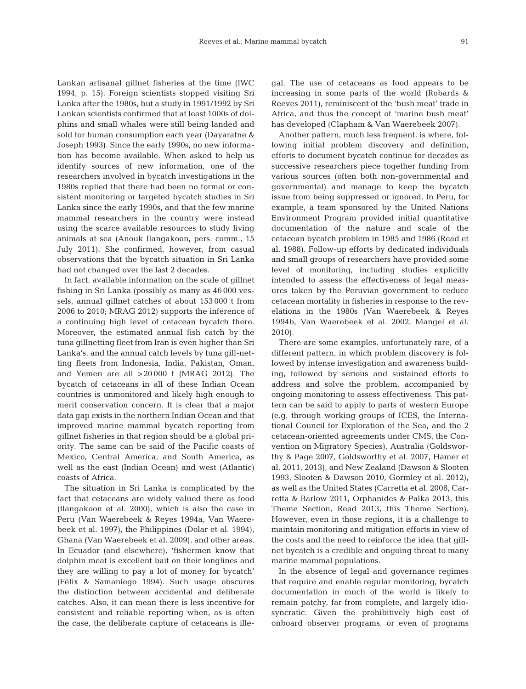91

Lankan artisanal gillnet fisheries at the time (IWC 1994, p. 15). Foreign scientists stopped visiting Sri Lanka after the 1980s, but a study in 1991/1992 by Sri Lankan scientists confirmed that at least 1000s of dolphins and small whales were still being landed and sold for human consumption each year (Dayaratne & Joseph 1993). Since the early 1990s, no new information has become available. When asked to help us identify sources of new information, one of the researchers involved in bycatch investigations in the 1980s replied that there had been no formal or consistent monitoring or targeted bycatch studies in Sri Lanka since the early 1990s, and that the few marine mammal researchers in the country were instead using the scarce available resources to study living animals at sea (Anouk Ilangakoon, pers. comm., 15 July 2011). She confirmed, however, from casual observations that the bycatch situation in Sri Lanka had not changed over the last 2 decades.

In fact, available information on the scale of gillnet fishing in Sri Lanka (possibly as many as 46 000 vessels, annual gillnet catches of about 153 000 t from 2006 to 2010; MRAG 2012) supports the inference of a continuing high level of cetacean bycatch there. Moreover, the estimated annual fish catch by the tuna gillnetting fleet from Iran is even higher than Sri Lanka's, and the annual catch levels by tuna gill-netting fleets from Indonesia, India, Pakistan, Oman, and Yemen are all >20 000 t (MRAG 2012). The bycatch of cetaceans in all of these Indian Ocean countries is unmonitored and likely high enough to merit conservation concern. It is clear that a major data gap exists in the northern Indian Ocean and that improved marine mammal bycatch reporting from gillnet fisheries in that region should be a global priority. The same can be said of the Pacific coasts of Mexico, Central America, and South America, as well as the east (Indian Ocean) and west (Atlantic) coasts of Africa.

The situation in Sri Lanka is complicated by the fact that cetaceans are widely valued there as food (Ilangakoon et al. 2000), which is also the case in Peru (Van Waerebeek & Reyes 1994a, Van Waerebeek et al. 1997), the Philippines (Dolar et al. 1994), Ghana (Van Waerebeek et al. 2009), and other areas. In Ecuador (and elsewhere), 'fishermen know that dolphin meat is excellent bait on their longlines and they are willing to pay a lot of money for bycatch' (Félix & Samaniego 1994). Such usage obscures the distinction between accidental and deliberate catches. Also, it can mean there is less incentive for consistent and reliable reporting when, as is often the case, the deliberate capture of cetaceans is illegal. The use of cetaceans as food appears to be increasing in some parts of the world (Robards & Reeves 2011), reminiscent of the 'bush meat' trade in Africa, and thus the concept of 'marine bush meat' has developed (Clapham & Van Waerebeek 2007).

Another pattern, much less frequent, is where, following initial problem discovery and definition, efforts to document bycatch continue for decades as successive researchers piece together funding from various sources (often both non-governmental and governmental) and manage to keep the bycatch issue from being suppressed or ignored. In Peru, for example, a team sponsored by the United Nations Environment Program provided initial quantitative documentation of the nature and scale of the cetacean bycatch problem in 1985 and 1986 (Read et al. 1988). Follow-up efforts by dedicated individuals and small groups of researchers have provided some level of monitoring, including studies explicitly intended to assess the effectiveness of legal measures taken by the Peruvian government to reduce cetacean mortality in fisheries in response to the revelations in the 1980s (Van Waerebeek & Reyes 1994b, Van Waerebeek et al. 2002, Mangel et al. 2010).

There are some examples, unfortunately rare, of a different pattern, in which problem discovery is followed by intense investigation and awareness building, followed by serious and sustained efforts to address and solve the problem, accompanied by ongoing monitoring to assess effectiveness. This pattern can be said to apply to parts of western Europe (e.g. through working groups of ICES, the International Council for Exploration of the Sea, and the 2 cetacean-oriented agreements under CMS, the Convention on Migratory Species), Australia (Goldsworthy & Page 2007, Goldsworthy et al. 2007, Hamer et al. 2011, 2013), and New Zealand (Dawson & Slooten 1993, Slooten & Dawson 2010, Gormley et al. 2012), as well as the United States (Carretta et al. 2008, Carretta & Barlow 2011, Orphanides & Palka 2013, this Theme Section, Read 2013, this Theme Section). However, even in those regions, it is a challenge to maintain monitoring and mitigation efforts in view of the costs and the need to reinforce the idea that gillnet bycatch is a credible and ongoing threat to many marine mammal populations.

In the absence of legal and governance regimes that require and enable regular monitoring, bycatch documentation in much of the world is likely to remain patchy, far from complete, and largely idiosyncratic. Given the prohibitively high cost of onboard observer programs, or even of programs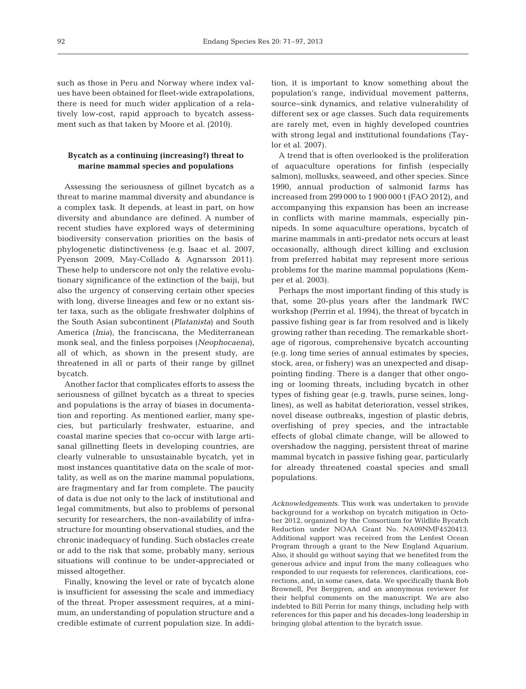such as those in Peru and Norway where index values have been obtained for fleet-wide extrapolations, there is need for much wider application of a relatively low-cost, rapid approach to bycatch assessment such as that taken by Moore et al. (2010).

# **Bycatch as a continuing (increasing?) threat to marine mammal species and populations**

Assessing the seriousness of gillnet bycatch as a threat to marine mammal diversity and abundance is a complex task. It depends, at least in part, on how diversity and abundance are defined. A number of recent studies have explored ways of determining biodiversity conservation priorities on the basis of phylogenetic distinctiveness (e.g. Isaac et al. 2007, Pyenson 2009, May-Collado & Agnarsson 2011). These help to underscore not only the relative evolutionary significance of the extinction of the baiji, but also the urgency of conserving certain other species with long, diverse lineages and few or no extant sister taxa, such as the obligate freshwater dolphins of the South Asian subcontinent (*Platanista*) and South America (*Inia*), the franciscana, the Mediterranean monk seal, and the finless porpoises (*Neophocaena*), all of which, as shown in the present study, are threatened in all or parts of their range by gillnet bycatch.

Another factor that complicates efforts to assess the seriousness of gillnet bycatch as a threat to species and populations is the array of biases in documentation and reporting. As mentioned earlier, many species, but particularly freshwater, estuarine, and coastal marine species that co-occur with large artisanal gillnetting fleets in developing countries, are clearly vulnerable to unsustainable bycatch, yet in most instances quantitative data on the scale of mortality, as well as on the marine mammal populations, are fragmentary and far from complete. The paucity of data is due not only to the lack of institutional and legal commitments, but also to problems of personal security for researchers, the non-availability of infrastructure for mounting observational studies, and the chronic inadequacy of funding. Such obstacles create or add to the risk that some, probably many, serious situations will continue to be under-appreciated or missed altogether.

Finally, knowing the level or rate of bycatch alone is insufficient for assessing the scale and immediacy of the threat. Proper assessment requires, at a minimum, an understanding of population structure and a credible estimate of current population size. In addition, it is important to know something about the population's range, individual movement patterns, source−sink dynamics, and relative vulnerability of different sex or age classes. Such data requirements are rarely met, even in highly developed countries with strong legal and institutional foundations (Taylor et al. 2007).

A trend that is often overlooked is the proliferation of aquaculture operations for finfish (especially salmon), mollusks, seaweed, and other species. Since 1990, annual production of salmonid farms has increased from 299 000 to 1 900 000 t (FAO 2012), and accompanying this expansion has been an increase in conflicts with marine mammals, especially pinnipeds. In some aquaculture operations, bycatch of marine mammals in anti-predator nets occurs at least occasionally, although direct killing and exclusion from preferred habitat may represent more serious problems for the marine mammal populations (Kemper et al. 2003).

Perhaps the most important finding of this study is that, some 20-plus years after the landmark IWC workshop (Perrin et al. 1994), the threat of bycatch in passive fishing gear is far from resolved and is likely growing rather than receding. The remarkable shortage of rigorous, comprehensive bycatch accounting (e.g. long time series of annual estimates by species, stock, area, or fishery) was an unexpected and disappointing finding. There is a danger that other ongoing or looming threats, including bycatch in other types of fishing gear (e.g. trawls, purse seines, longlines), as well as habitat deterioration, vessel strikes, novel disease outbreaks, ingestion of plastic debris, overfishing of prey species, and the intractable effects of global climate change, will be allowed to overshadow the nagging, persistent threat of marine mammal bycatch in passive fishing gear, particularly for already threatened coastal species and small populations.

*Acknowledgements*. This work was undertaken to provide background for a workshop on bycatch mitigation in October 2012, organized by the Consortium for Wildlife Bycatch Reduction under NOAA Grant No. NA09NMF4520413. Additional support was received from the Lenfest Ocean Program through a grant to the New England Aquarium. Also, it should go without saying that we benefited from the generous advice and input from the many colleagues who responded to our requests for references, clarifications, corrections, and, in some cases, data. We specifically thank Bob Brownell, Per Berggren, and an anonymous reviewer for their helpful comments on the manuscript. We are also indebted to Bill Perrin for many things, including help with references for this paper and his decades-long leadership in bringing global attention to the bycatch issue.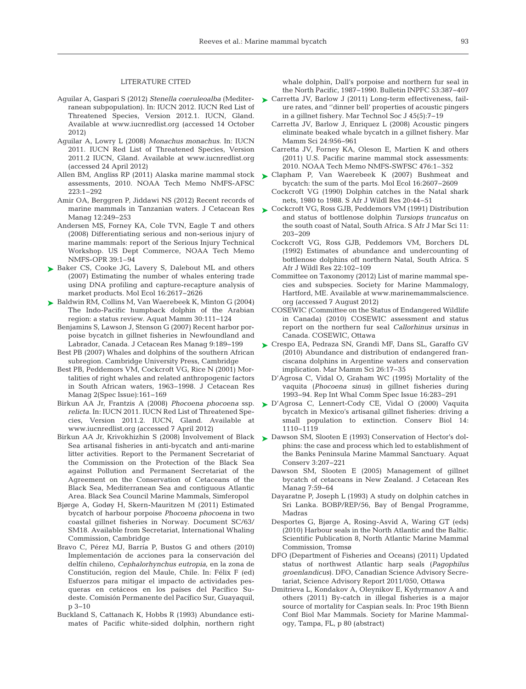#### LITERATURE CITED

- Aguilar A, Gaspari S (2012) *Stenella coeruleoalba* (Mediterranean subpopulation). In:IUCN 2012. IUCN Red List of Threatened Species, Version 2012.1. IUCN, Gland. Available atwww.iucnredlist.org (accessed 14 October 2012)
- Aguilar A, Lowry L (2008) Monachus monachus. In: IUCN 2011. IUCN Red List of Threatened Species, Version 2011.2 IUCN, Gland. Available at www.iucnredlist.org (accessed 24 April 2012)
- Allen BM, Angliss RP (2011) Alaska marine mammal stock assessments, 2010. NOAA Tech Memo NMFS-AFSC 223: 1–292
- Amir OA, Berggren P, Jiddawi NS (2012) Recent records of marine mammals in Tanzanian waters. J Cetacean Res Manag 12:249-253
- Andersen MS, Forney KA, Cole TVN, Eagle T and others (2008) Differentiating serious and non-serious injury of marine mammals: report of the Serious Injury Technical Workshop. US Dept Commerce, NOAA Tech Memo NMFS-OPR 39:1-94
- ▶ Baker CS, Cooke JG, Lavery S, Dalebout ML and others (2007) Estimating the number of whales entering trade using DNA profiling and capture-recapture analysis of market products. Mol Ecol 16: 2617−2626
- Baldwin RM, Collins M, Van Waerebeek K, Minton G (2004) ➤ The Indo-Pacific humpback dolphin of the Arabian region:a status review. Aquat Mamm 30: 111−124
	- Benjamins S, Lawson J, Stenson G (2007) Recent harbor porpoise bycatch in gillnet fisheries in Newfoundland and Labrador, Canada. J Cetacean Res Manag 9: 189−199
	- Best PB (2007) Whales and dolphins of the southern African subregion. Cambridge University Press, Cambridge
	- Best PB, Peddemors VM, Cockcroft VG, Rice N (2001) Mortalities of right whales and related anthropogenic factors in South African waters, 1963−1998. J Cetacean Res Manag 2(Spec Issue): 161−169
	- Birkun AA Jr, Frantzis A (2008) *Phocoena phocoena* ssp. relicta. In: IUCN 2011. IUCN Red List of Threatened Species, Version 2011.2. IUCN, Gland. Available at www.iucnredlist.org (accessed 7 April 2012)
	- Birkun AA Jr, Krivokhizhin S (2008) Involvement of Black Sea artisanal fisheries in anti-bycatch and anti-marine litter activities. Report to the Permanent Secretariat of the Commission on the Protection of the Black Sea against Pollution and Permanent Secretariat of the Agreement on the Conservation of Cetaceans of the Black Sea, Mediterranean Sea and contiguous Atlantic Area. Black Sea Council Marine Mammals, Simferopol
	- Bjørge A, Godøy H, Skern-Mauritzen M (2011) Estimated bycatch of harbour porpoise *Phocoena phocoena* in two coastal gillnet fisheries in Norway. Document SC/63/ SM18. Available from Secretariat, International Whaling Commission, Cambridge
	- Bravo C, Pérez MJ, Barría P, Bustos G and others (2010) Implementación de acciones para la conservación del delfín chileno, *Cephalorhynchus eutropia*, en la zona de Constitución, region del Maule, Chile. In: Félix F (ed) Esfuerzos para mitigar el impacto de actividades pesqueras en cetáceos en los países del Pacífico Sudeste. Comisión Permanente del Pacífico Sur, Guayaquil, p 3−10
	- Buckland S, Cattanach K, Hobbs R (1993) Abundance estimates of Pacific white-sided dolphin, northern right

whale dolphin, Dall's porpoise and northern fur seal in the North Pacific, 1987−1990. Bulletin INPFC 53: 387−407

- ► Carretta JV, Barlow J (2011) Long-term effectiveness, failure rates, and ''dinner bell' properties of acoustic pingers in a gillnet fishery. Mar Technol Soc J 45(5): 7−19
	- Carretta JV, Barlow J, Enriquez L (2008) Acoustic pingers eliminate beaked whale bycatch in a gillnet fishery. Mar Mamm Sci 24:956-961
	- Carretta JV, Forney KA, Oleson E, Martien K and others (2011) U.S. Pacific marine mammal stock assessments: 2010. NOAA Tech Memo NMFS-SWFSC 476: 1–352
- ► Clapham P, Van Waerebeek K (2007) Bushmeat and bycatch: the sum of the parts. Mol Ecol 16:2607-2609
	- Cockcroft VG (1990) Dolphin catches in the Natal shark nets, 1980 to 1988. S Afr J Wildl Res 20:44-51
- Cockcroft VG, Ross GJB, Peddemors VM (1991) Distribution ➤ and status of bottlenose dolphin *Tursiops truncatus* on the south coast of Natal, South Africa. S Afr J Mar Sci 11: 203−209
	- Cockcroft VG, Ross GJB, Peddemors VM, Borchers DL (1992) Estimates of abundance and undercounting of bottlenose dolphins off northern Natal, South Africa. S Afr J Wildl Res 22: 102−109
	- Committee on Taxonomy (2012) List of marine mammal species and subspecies. Society for Marine Mammalogy, Hartford, ME. Available at www.marinemammalscience. org (accessed 7 August 2012)
	- COSEWIC (Committee on the Status of Endangered Wildlife in Canada) (2010) COSEWIC assessment and status report on the northern fur seal *Callorhinus ursinus* in Canada. COSEWIC, Ottawa
- Crespo EA, Pedraza SN, Grandi MF, Dans SL, Garaffo GV ➤ (2010) Abundance and distribution of endangered franciscana dolphins in Argentine waters and conservation implication. Mar Mamm Sci 26: 17−35
	- D'Agrosa C, Vidal O, Graham WC (1995) Mortality of the vaquita (*Phocoena sinus*) in gillnet fisheries during 1993−94. Rep Int Whal Comm Spec Issue 16:283−291
- D'Agrosa C, Lennert-Cody CE, Vidal O (2000) Vaquita ➤ bycatch in Mexico's artisanal gillnet fisheries: driving a small population to extinction. Conserv Biol 14: 1110−1119
- ► Dawson SM, Slooten E (1993) Conservation of Hector's dolphins: the case and process which led to establishment of the Banks Peninsula Marine Mammal Sanctuary. Aquat Conserv 3: 207−221
	- Dawson SM, Slooten E (2005) Management of gillnet bycatch of cetaceans in New Zealand. J Cetacean Res Manag 7:59-64
	- Dayaratne P, Joseph L (1993) A study on dolphin catches in Sri Lanka. BOBP/REP/56, Bay of Bengal Programme, Madras
	- Desportes G, Bjørge A, Rosing-Asvid A, Waring GT (eds) (2010) Harbour seals in the North Atlantic and the Baltic. Scientific Publication 8, North Atlantic Marine Mammal Commission, Tromsø
	- DFO (Department of Fisheries and Oceans) (2011) Updated status of northwest Atlantic harp seals (*Pagophilus groenlandicus*). DFO, Canadian Science Advisory Secretariat, Science Advisory Report 2011/050, Ottawa
	- Dmitrieva L, Kondakov A, Oleynikov E, Kydyrmanov A and others (2011) By-catch in illegal fisheries is a major source of mortality for Caspian seals. In: Proc 19th Bienn Conf Biol Mar Mammals. Society for Marine Mammalogy, Tampa, FL, p 80 (abstract)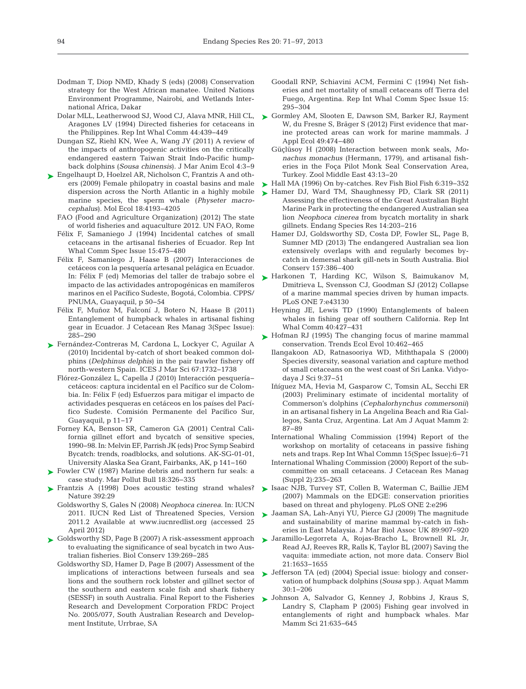- Dodman T, Diop NMD, Khady S (eds) (2008) Conservation strategy for the West African manatee. United Nations Environment Programme, Nairobi, and Wetlands International Africa, Dakar
- Dolar MLL, Leatherwood SJ, Wood CJ, Alava MNR, Hill CL, Aragones LV (1994) Directed fisheries for cetaceans in the Philippines. Rep Int Whal Comm 44: 439−449
- Dungan SZ, Riehl KN, Wee A, Wang JY (2011) A review of the impacts of anthropogenic activities on the critically endangered eastern Taiwan Strait Indo-Pacific humpback dolphins (*Sousa chinensis*). J Mar Anim Ecol 4:3-9
- ► Engelhaupt D, Hoelzel AR, Nicholson C, Frantzis A and others (2009) Female philopatry in coastal basins and male dispersion across the North Atlantic in a highly mobile marine species, the sperm whale (*Physeter macrocephalus*). Mol Ecol 18: 4193−4205
	- FAO (Food and Agriculture Organization) (2012) The state of world fisheries and aquaculture 2012. UN FAO, Rome
	- Félix F, Samaniego J (1994) Incidental catches of small cetaceans in the artisanal fisheries of Ecuador. Rep Int Whal Comm Spec Issue 15: 475−480
	- Félix F, Samaniego J, Haase B (2007) Interacciones de cetáceos con la pesquería artesanal pelágica en Ecuador. In:Félix F (ed) Memorias del taller de trabajo sobre el impacto de las actividades antropogénicas en mamíferos marinos en el Pacífico Sudeste, Bogotá, Colombia. CPPS/ PNUMA, Guayaquil, p 50−54
	- Félix F, Muñoz M, Falconí J, Botero N, Haase B (2011) Entanglement of humpback whales in artisanal fishing gear in Ecuador. J Cetacean Res Manag 3(Spec Issue): 285−290
- Fernández-Contreras M, Cardona L, Lockyer C, Aguilar A ➤ (2010) Incidental by-catch of short beaked common dolphins (*Delphinus delphis*) in the pair trawler fishery off north-western Spain. ICES J Mar Sci 67: 1732−1738
	- Flórez-González L, Capella J (2010) Interacción pesquería− cetáceos: captura incidental en el Pacífico sur de Colombia. In:Félix F (ed) Esfuerzos para mitigar el impacto de actividades pesqueras en cetáceos en los países del Pacífico Sudeste. Comisión Permanente del Pacífico Sur, Guayaquil, p 11−17
	- Forney KA, Benson SR, Cameron GA (2001) Central Cali fornia gillnet effort and bycatch of sensitive species, 1990−98. In:Melvin EF, Parrish JK (eds) Proc Symp Seabird Bycatch: trends, roadblocks, and solutions. AK-SG-01-01, University Alaska Sea Grant, Fairbanks, AK, p 141−160
- ► Fowler CW (1987) Marine debris and northern fur seals: a case study. Mar Pollut Bull 18:326-335
- ▶ Frantzis A (1998) Does acoustic testing strand whales? Nature 392:29
	- Goldsworthy S, Gales N (2008) *Neophoca cinerea*. In: IUCN 2011. IUCN Red List of Threatened Species, Version 2011.2 Available at www.iucnredlist.org (accessed 25 April 2012)
- ► Goldsworthy SD, Page B (2007) A risk-assessment approach to evaluating the significance of seal bycatch in two Australian fisheries. Biol Conserv 139: 269−285
	- Goldsworthy SD, Hamer D, Page B (2007) Assessment of the implications of interactions between furseals and sea lions and the southern rock lobster and gillnet sector of the southern and eastern scale fish and shark fishery (SESSF) in south Australia. Final Report to the Fisheries Research and Development Corporation FRDC Project No. 2005/077, South Australian Research and Development Institute, Urrbrae, SA
- Goodall RNP, Schiavini ACM, Fermini C (1994) Net fisheries and net mortality of small cetaceans off Tierra del Fuego, Argentina. Rep Int Whal Comm Spec Issue 15: 295−304
- ► Gormley AM, Slooten E, Dawson SM, Barker RJ, Rayment W, du Fresne S, Bräger S (2012) First evidence that marine protected areas can work for marine mammals. J Appl Ecol 49:474-480
	- Güçlüsoy H (2008) Interaction between monk seals, *Mo nachus monachus* (Hermann, 1779), and artisanal fisheries in the Foça Pilot Monk Seal Conservation Area, Turkey. Zool Middle East 43: 13−20
- ► Hall MA (1996) On by-catches. Rev Fish Biol Fish 6:319–352
- ► Hamer DJ, Ward TM, Shaughnessy PD, Clark SR (2011) Assessing the effectiveness of the Great Australian Bight Marine Park in protecting the endangered Australian sea lion *Neophoca cinerea* from bycatch mortality in shark gillnets. Endang Species Res 14: 203−216
	- Hamer DJ, Goldsworthy SD, Costa DP, Fowler SL, Page B, Sumner MD (2013) The endangered Australian sea lion extensively overlaps with and regularly becomes bycatch in demersal shark gill-nets in South Australia. Biol Conserv 157:386-400
- ▶ Harkonen T, Harding KC, Wilson S, Baimukanov M, Dmitrieva L, Svensson CJ, Goodman SJ (2012) Collapse of a marine mammal species driven by human impacts. PLoS ONE 7:e43130
	- Heyning JE, Lewis TD (1990) Entanglements of baleen whales in fishing gear off southern California. Rep Int Whal Comm 40:427-431
- ▶ Hofman RJ (1995) The changing focus of marine mammal conservation. Trends Ecol Evol 10: 462−465
	- Ilangakoon AD, Ratnasooriya WD, Miththapala S (2000) Species diversity, seasonal variation and capture method of small cetaceans on the west coast of Sri Lanka. Vidyodaya J Sci 9:37-51
	- Iñíguez MA, Hevia M, Gasparow C, Tomsin AL, Secchi ER (2003) Preliminary estimate of incidental mortality of Commerson's dolphins (*Cephalorhynchus commersonii*) in an artisanal fishery in La Angelina Beach and Ria Gallegos, Santa Cruz, Argentina. Lat Am J Aquat Mamm 2: 87−89
	- International Whaling Commission (1994) Report of the workshop on mortality of cetaceans in passive fishing nets and traps. Rep Int Whal Commn 15(Spec Issue): 6−71
	- International Whaling Commission (2000) Report of the subcommittee on small cetaceans. J Cetacean Res Manag (Suppl 2): 235−263
- ► Isaac NJB, Turvey ST, Collen B, Waterman C, Baillie JEM (2007) Mammals on the EDGE: conservation priorities based on threat and phylogeny. PLoS ONE 2:e296
- ► Jaaman SA, Lah-Anyi YU, Pierce GJ (2009) The magnitude and sustainability of marine mammal by-catch in fisheries in East Malaysia. J Mar Biol Assoc UK 89:907-920
- Jaramillo-Legorreta A, Rojas-Bracho L, Brownell RL Jr, ➤ Read AJ, Reeves RR, Ralls K, Taylor BL (2007) Saving the vaquita: immediate action, not more data. Conserv Biol 21: 1653−1655
- ▶ Jefferson TA (ed) (2004) Special issue: biology and conservation of humpback dolphins (*Sousa* spp.). Aquat Mamm 30: 1−206
- ▶ Johnson A, Salvador G, Kenney J, Robbins J, Kraus S, Landry S, Clapham P (2005) Fishing gear involved in entanglements of right and humpback whales. Mar Mamm Sci 21:635-645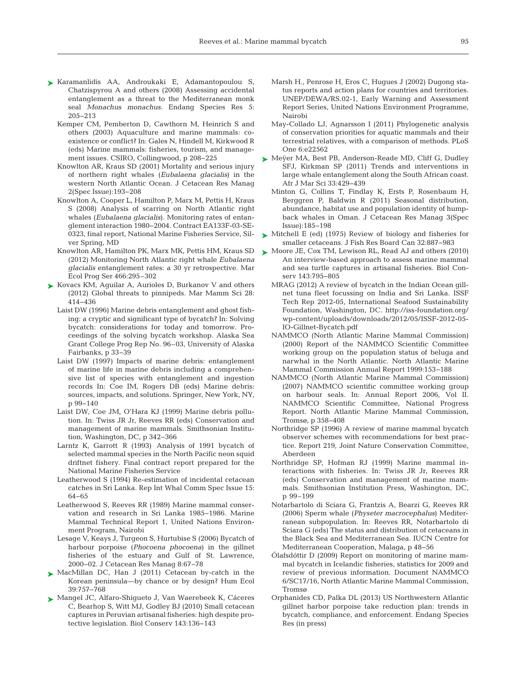- Karamanlidis AA, Androukaki E, Adamantopoulou S, ➤ Chatzispyrou A and others (2008) Assessing accidental entanglement as a threat to the Mediterranean monk seal *Monachus monachus.* Endang Species Res 5: 205−213
	- Kemper CM, Pemberton D, Cawthorn M, Heinrich S and others (2003) Aquaculture and marine mammals: coexistence or conflict? In:Gales N, Hindell M, Kirkwood R (eds) Marine mammals: fisheries, tourism, and management issues. CSIRO, Collingwood, p 208−225
	- Knowlton AR, Kraus SD (2001) Mortality and serious injury of northern right whales (*Eubalaena glacialis*) in the western North Atlantic Ocean. J Cetacean Res Manag 2(Spec Issue): 193−208
	- Knowlton A, Cooper L, Hamilton P, Marx M, Pettis H, Kraus S (2008) Analysis of scarring on North Atlantic right whales (*Eubalaena glacialis*). Monitoring rates of entanglement interaction 1980−2004. Contract EA133F-03-SE-0323, final report, National Marine Fisheries Service, Silver Spring, MD
	- Knowlton AR, Hamilton PK, Marx MK, Pettis HM, Kraus SD (2012) Monitoring North Atlantic right whale *Eubalaena glacialis* entanglement rates: a 30 yr retrospective. Mar Ecol Prog Ser 466:295-302
- ► Kovacs KM, Aguilar A, Aurioles D, Burkanov V and others (2012) Global threats to pinnipeds. Mar Mamm Sci 28: 414−436
	- Laist DW (1996) Marine debris entanglement and ghost fishing: a cryptic and significant type of bycatch? In: Solving bycatch: considerations for today and tomorrow. Proceedings of the solving bycatch workshop. Alaska Sea Grant College Prog Rep No. 96–03, University of Alaska Fairbanks, p 33−39
	- Laist DW (1997) Impacts of marine debris: entanglement of marine life in marine debris including a comprehensive list of species with entanglement and ingestion records In:Coe IM, Rogers DB (eds) Marine debris: sources, impacts, and solutions. Springer, New York, NY, p 99−140
	- Laist DW, Coe JM, O'Hara KJ (1999) Marine debris pollution. In:Twiss JR Jr, Reeves RR (eds) Conservation and management of marine mammals. Smithsonian Institution, Washington, DC, p 342−366
	- Larntz K, Garrott R (1993) Analysis of 1991 bycatch of selected mammal species in the North Pacific neon squid driftnet fishery. Final contract report prepared for the National Marine Fisheries Service
	- Leatherwood S (1994) Re-estimation of incidental cetacean catches in Sri Lanka. Rep Int Whal Comm Spec Issue 15: 64−65
	- Leatherwood S, Reeves RR (1989) Marine mammal conservation and research in Sri Lanka 1985−1986. Marine Mammal Technical Report 1, United Nations Environment Program, Nairobi
	- Lesage V, Keays J, Turgeon S, Hurtubise S (2006) Bycatch of harbour porpoise (*Phocoena phocoena*) in the gillnet fisheries of the estuary and Gulf of St. Lawrence, 2000−02. J Cetacean Res Manag 8:67-78
- ▶ MacMillan DC, Han J (2011) Cetacean by-catch in the Korean peninsula—by chance or by design? Hum Ecol 39: 757−768
- ► Mangel JC, Alfaro-Shigueto J, Van Waerebeek K, Cáceres C, Bearhop S, Witt MJ, Godley BJ (2010) Small cetacean captures in Peruvian artisanal fisheries: high despite protective legislation. Biol Conserv 143: 136−143
- Marsh H., Penrose H, Eros C, Hugues J (2002) Dugong status reports and action plans for countries and territories. UNEP/DEWA/RS.02-1, Early Warning and Assessment Report Series, United Nations Environment Programme, Nairobi
- May-Collado LJ, Agnarsson I (2011) Phylogenetic analysis of conservation priorities for aquatic mammals and their terrestrial relatives, with a comparison of methods. PLoS One 6:e22562
- Meÿer MA, Best PB, Anderson-Reade MD, Cliff G, Dudley ➤ SFJ, Kirkman SP (2011) Trends and interventions in large whale entanglement along the South African coast. Afr J Mar Sci 33: 429−439
	- Minton G, Collins T, Findlay K, Ersts P, Rosenbaum H, Berggren P, Baldwin R (2011) Seasonal distribution, abundance, habitat use and population identity of humpback whales in Oman. J Cetacean Res Manag 3(Spec Issue): 185−198
- ▶ Mitchell E (ed) (1975) Review of biology and fisheries for smaller cetaceans. J Fish Res Board Can 32: 887−983
- ► Moore JE, Cox TM, Lewison RL, Read AJ and others (2010) An interview-based approach to assess marine mammal and sea turtle captures in artisanal fisheries. Biol Conserv 143:795-805
	- MRAG (2012) A review of bycatch in the Indian Ocean gillnet tuna fleet focussing on India and Sri Lanka. ISSF Tech Rep 2012-05, International Seafood Sustainability Foundation, Washington, DC. http://iss-foundation.org/ wp-content/uploads/downloads/2012/05/ISSF-2012-05-IO-Gillnet-Bycatch. pdf
	- NAMMCO (North Atlantic Marine Mammal Commission) (2000) Report of the NAMMCO Scientific Committee working group on the population status of beluga and narwhal in the North Atlantic. North Atlantic Marine Mammal Commission Annual Report 1999:153-188
	- NAMMCO (North Atlantic Marine Mammal Commission) (2007) NAMMCO scientific committee working group on harbour seals. In:Annual Report 2006, Vol II. NAMMCO Scientific Committee, National Progress Report. North Atlantic Marine Mammal Commission, Tromsø, p 358−408
	- Northridge SP (1996) A review of marine mammal bycatch observer schemes with recommendations for best practice. Report 219, Joint Nature Conservation Committee, Aberdeen
	- Northridge SP, Hofman RJ (1999) Marine mammal in teractions with fisheries. In:Twiss JR Jr, Reeves RR (eds) Conservation and management of marine mammals. Smithsonian Institution Press, Washington, DC, p 99–199
	- Notarbartolo di Sciara G, Frantzis A, Bearzi G, Reeves RR (2006) Sperm whale (*Physeter macrocephalus*) Mediterranean subpopulation. In: Reeves RR, Notarbartolo di Sciara G (eds) The status and distribution of cetaceans in the Black Sea and Mediterranean Sea. IUCN Centre for Mediterranean Cooperation, Malaga, p 48−56
	- Ólafsdóttir D (2009) Report on monitoring of marine mammal bycatch in Icelandic fisheries, statistics for 2009 and review of previous information. Document NAMMCO 6/SC17/16, North Atlantic Marine Mammal Commission, Tromsø
	- Orphanides CD, Palka DL (2013) US Northwestern Atlantic gillnet harbor porpoise take reduction plan: trends in bycatch, compliance, and enforcement. Endang Species Res (in press)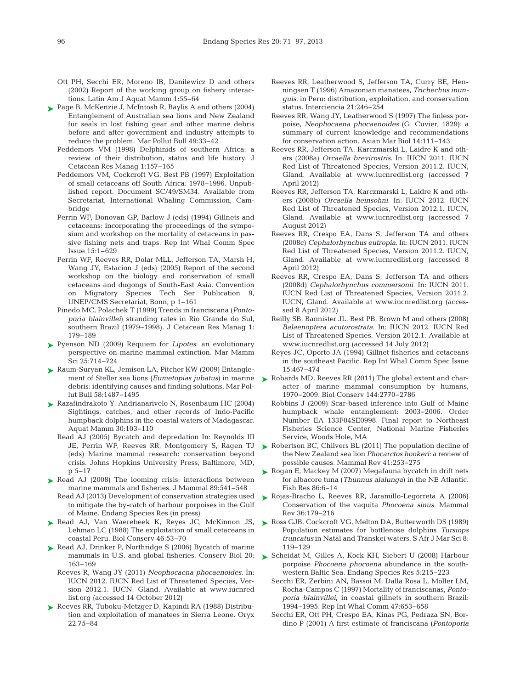- Ott PH, Secchi ER, Moreno IB, Danilewicz D and others (2002) Report of the working group on fishery interactions. Latin Am J Aquat Mamm 1:55-64
- ► Page B, McKenzie J, McIntosh R, Baylis A and others (2004) Entanglement of Australian sea lions and New Zealand fur seals in lost fishing gear and other marine debris before and after government and industry attempts to reduce the problem. Mar Pollut Bull 49:33-42
	- Peddemors VM (1998) Delphinids of southern Africa: a review of their distribution, status and life history. J Cetacean Res Manag 1: 157−165
	- Peddemors VM, Cockcroft VG, Best PB (1997) Exploitation of small cetaceans off South Africa:1978−1996. Unpublished report. Document SC/49/SM34. Available from Secretariat, International Whaling Commission, Cambridge
	- Perrin WF, Donovan GP, Barlow J (eds) (1994) Gillnets and cetaceans: incorporating the proceedings of the symposium and workshop on the mortality of cetaceans in passive fishing nets and traps. Rep Int Whal Comm Spec Issue 15: 1–629
	- Perrin WF, Reeves RR, Dolar MLL, Jefferson TA, Marsh H, Wang JY, Estacion J (eds) (2005) Report of the second workshop on the biology and conservation of small cetaceans and dugongs of South-East Asia. Convention on Migratory Species Tech Ser Publication 9, UNEP/CMS Secretariat, Bonn, p 1−161
	- Pinedo MC, Polachek T (1999) Trends in franciscana (*Pontoporia blainvillei*) stranding rates in Rio Grande do Sul, southern Brazil (1979−1998). J Cetacean Res Manag 1: 179−189
- ► Pyenson ND (2009) Requiem for *Lipotes*: an evolutionary perspective on marine mammal extinction. Mar Mamm Sci 25: 714−724
- Raum-Suryan KL, Jemison LA, Pitcher KW (2009) Entangle-➤ debris: identifying causes and finding solutions. Mar Pollut Bull 58: 1487−1495
- Razafindrakoto Y, Andrianarivelo N, Rosenbaum HC (2004) ➤ Sightings, catches, and other records of Indo-Pacific humpback dolphins in the coastal waters of Madagascar. Aquat Mamm 30: 103−110
	- Read AJ (2005) Bycatch and depredation In: Reynolds III JE, Perrin WF, Reeves RR, Montgomery S, Ragen TJ (eds) Marine mammal research: conservation beyond crisis. Johns Hopkins University Press, Baltimore, MD, p 5−17
- ▶ Read AJ (2008) The looming crisis: interactions between marine mammals and fisheries. J Mammal 89:541-548
	- Read AJ (2013) Development of conservation strategies used to mitigate the by-catch of harbour porpoises in the Gulf of Maine. Endang Species Res (in press)
- ▶ Read AJ, Van Waerebeek K, Reyes JC, McKinnon JS, Lehman LC (1988) The exploitation of small cetaceans in coastal Peru. Biol Conserv 46: 53−70
- ▶ Read AJ, Drinker P, Northridge S (2006) Bycatch of marine mammals in U.S. and global fisheries. Conserv Biol 20: 163−169
	- Reeves R, Wang JY (2011) *Neophocaena phocaenoides*. In: IUCN 2012. IUCN Red List of Threatened Species, Version 2012.1. IUCN, Gland. Available at www.iucnred list.org (accessed 14 October 2012)
- ► Reeves RR, Tuboku-Metzger D, Kapindi RA (1988) Distribution and exploitation of manatees in Sierra Leone. Oryx 22: 75−84
- Reeves RR, Leatherwood S, Jefferson TA, Curry BE, Henningsen T (1996) Amazonian manatees, *Trichechus inunguis*, in Peru:distribution, exploitation, and conservation status. Interciencia 21: 246−254
- Reeves RR, Wang JY, Leatherwood S (1997) The finless porpoise, *Neophocaena phocaenoides* (G. Cuvier, 1829): a summary of current knowledge and recommendations for conservation action. Asian Mar Biol 14: 111−143
- Reeves RR, Jefferson TA, Karczmarski L, Laidre K and others (2008a) *Orcaella brevirostris*. In: IUCN 2011. IUCN Red List of Threatened Species, Version 2011.2. IUCN, Gland. Available atwww.iucnredlist.org (accessed 7 April 2012)
- Reeves RR, Jefferson TA, Karczmarski L, Laidre K and others (2008b) *Orcaella heinsohni*. In: IUCN 2012. IUCN Red List of Threatened Species, Version 2012.1. IUCN, Gland. Available at www.iucnredlist.org (accessed 7 August 2012)
- Reeves RR, Crespo EA, Dans S, Jefferson TA and others (2008c) *Cephalorhynchus eutropia*. In:IUCN 2011. IUCN Red List of Threatened Species, Version 2011.2. IUCN, Gland. Available atwww.iucnredlist.org (accessed 8 April 2012)
- Reeves RR, Crespo EA, Dans S, Jefferson TA and others (2008d) *Cephalorhynchus commersonii*. In:IUCN 2011. IUCN Red List of Threatened Species, Version 2011.2. IUCN, Gland. Available at www.iucnredlist.org (accessed 8 April 2012)
- Reilly SB, Bannister JL, Best PB, Brown M and others (2008) *Balaenoptera acutorostrata*. In:IUCN 2012. IUCN Red List of Threatened Species, Version 2012.1. Available at www.iucnredlist.org (accessed 14 July 2012)
- Reyes JC, Oporto JA (1994) Gillnet fisheries and cetaceans in the southeast Pacific. Rep Int Whal Comm Spec Issue 15: 467−474
- ment of Steller sea lions (*Eumetopias jubatus*) in marine ▶ Robards MD, Reeves RR (2011) The global extent and character of marine mammal consumption by humans, 1970−2009. Biol Conserv 144: 2770−2786
	- Robbins J (2009) Scar-based inference into Gulf of Maine humpback whale entanglement:2003−2006. Order Number EA 133F04SE0998. Final report to Northeast Fisheries Science Center, National Marine Fisheries Service, Woods Hole, MA
	- ▶ Robertson BC, Chilvers BL (2011) The population decline of the New Zealand sea lion *Phocarctos hookeri*:a review of possible causes. Mammal Rev 41:253-275
	- ► Rogan E, Mackey M (2007) Megafauna bycatch in drift nets for albacore tuna (*Thunnus alalunga*) in the NE Atlantic. Fish Res 86:6-14
	- ▶ Rojas-Bracho L, Reeves RR, Jaramillo-Legorreta A (2006) Conservation of the vaquita *Phocoena sinus.* Mammal Rev 36: 179−216
	- ► Ross GJB, Cockcroft VG, Melton DA, Butterworth DS (1989) Population estimates for bottlenose dolphins *Tursiops truncatus* in Natal and Transkei waters. S Afr J Mar Sci 8: 119−129
	- ▶ Scheidat M, Gilles A, Kock KH, Siebert U (2008) Harbour porpoise *Phocoena phocoena* abundance in the southwestern Baltic Sea. Endang Species Res 5:215-223
		- Secchi ER, Zerbini AN, Bassoi M, Dalla Rosa L, Möller LM, Rocha-Campos C (1997) Mortality of franciscanas, *Pontoporia blainvillei*, in coastal gillnets in southern Brazil: 1994−1995. Rep Int Whal Comm 47:653-658
		- Secchi ER, Ott PH, Crespo EA, Kinas PG, Pedraza SN, Bordino P (2001) A first estimate of franciscana (*Pontoporia*